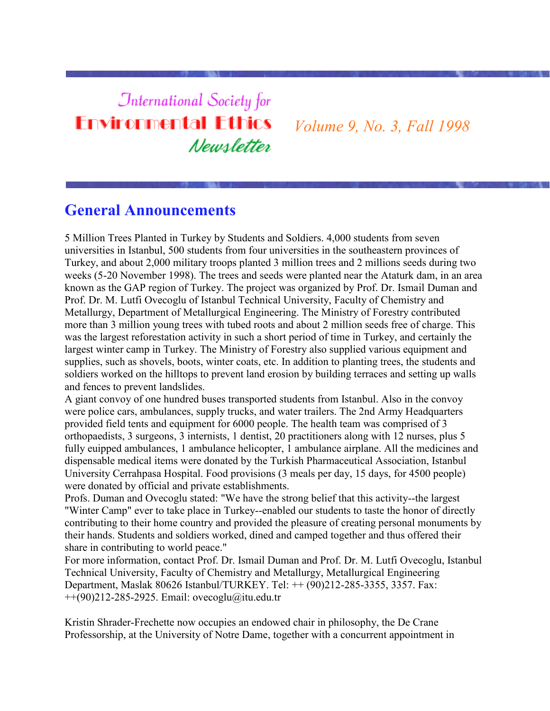# **International Society for Environmental Ethics** Newsletter

*Volume 9, No. 3, Fall 1998*

# **General Announcements**

5 Million Trees Planted in Turkey by Students and Soldiers. 4,000 students from seven universities in Istanbul, 500 students from four universities in the southeastern provinces of Turkey, and about 2,000 military troops planted 3 million trees and 2 millions seeds during two weeks (5-20 November 1998). The trees and seeds were planted near the Ataturk dam, in an area known as the GAP region of Turkey. The project was organized by Prof. Dr. Ismail Duman and Prof. Dr. M. Lutfi Ovecoglu of Istanbul Technical University, Faculty of Chemistry and Metallurgy, Department of Metallurgical Engineering. The Ministry of Forestry contributed more than 3 million young trees with tubed roots and about 2 million seeds free of charge. This was the largest reforestation activity in such a short period of time in Turkey, and certainly the largest winter camp in Turkey. The Ministry of Forestry also supplied various equipment and supplies, such as shovels, boots, winter coats, etc. In addition to planting trees, the students and soldiers worked on the hilltops to prevent land erosion by building terraces and setting up walls and fences to prevent landslides.

A giant convoy of one hundred buses transported students from Istanbul. Also in the convoy were police cars, ambulances, supply trucks, and water trailers. The 2nd Army Headquarters provided field tents and equipment for 6000 people. The health team was comprised of 3 orthopaedists, 3 surgeons, 3 internists, 1 dentist, 20 practitioners along with 12 nurses, plus 5 fully euipped ambulances, 1 ambulance helicopter, 1 ambulance airplane. All the medicines and dispensable medical items were donated by the Turkish Pharmaceutical Association, Istanbul University Cerrahpasa Hospital. Food provisions (3 meals per day, 15 days, for 4500 people) were donated by official and private establishments.

Profs. Duman and Ovecoglu stated: "We have the strong belief that this activity--the largest "Winter Camp" ever to take place in Turkey--enabled our students to taste the honor of directly contributing to their home country and provided the pleasure of creating personal monuments by their hands. Students and soldiers worked, dined and camped together and thus offered their share in contributing to world peace."

For more information, contact Prof. Dr. Ismail Duman and Prof. Dr. M. Lutfi Ovecoglu, Istanbul Technical University, Faculty of Chemistry and Metallurgy, Metallurgical Engineering Department, Maslak 80626 Istanbul/TURKEY. Tel: ++ (90)212-285-3355, 3357. Fax:  $+(90)212-285-2925$ . Email: ovecoglu@itu.edu.tr

Kristin Shrader-Frechette now occupies an endowed chair in philosophy, the De Crane Professorship, at the University of Notre Dame, together with a concurrent appointment in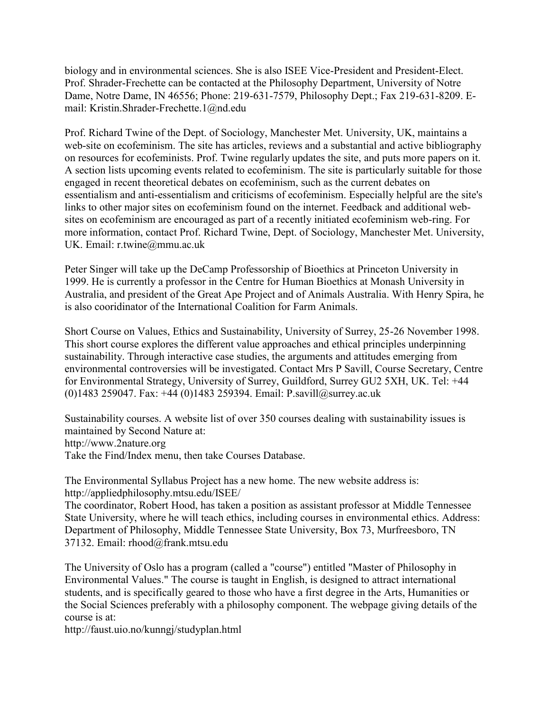biology and in environmental sciences. She is also ISEE Vice-President and President-Elect. Prof. Shrader-Frechette can be contacted at the Philosophy Department, University of Notre Dame, Notre Dame, IN 46556; Phone: 219-631-7579, Philosophy Dept.; Fax 219-631-8209. Email: Kristin.Shrader-Frechette.1@nd.edu

Prof. Richard Twine of the Dept. of Sociology, Manchester Met. University, UK, maintains a web-site on ecofeminism. The site has articles, reviews and a substantial and active bibliography on resources for ecofeminists. Prof. Twine regularly updates the site, and puts more papers on it. A section lists upcoming events related to ecofeminism. The site is particularly suitable for those engaged in recent theoretical debates on ecofeminism, such as the current debates on essentialism and anti-essentialism and criticisms of ecofeminism. Especially helpful are the site's links to other major sites on ecofeminism found on the internet. Feedback and additional websites on ecofeminism are encouraged as part of a recently initiated ecofeminism web-ring. For more information, contact Prof. Richard Twine, Dept. of Sociology, Manchester Met. University, UK. Email: r.twine@mmu.ac.uk

Peter Singer will take up the DeCamp Professorship of Bioethics at Princeton University in 1999. He is currently a professor in the Centre for Human Bioethics at Monash University in Australia, and president of the Great Ape Project and of Animals Australia. With Henry Spira, he is also cooridinator of the International Coalition for Farm Animals.

Short Course on Values, Ethics and Sustainability, University of Surrey, 25-26 November 1998. This short course explores the different value approaches and ethical principles underpinning sustainability. Through interactive case studies, the arguments and attitudes emerging from environmental controversies will be investigated. Contact Mrs P Savill, Course Secretary, Centre for Environmental Strategy, University of Surrey, Guildford, Surrey GU2 5XH, UK. Tel: +44 (0)1483 259047. Fax: +44 (0)1483 259394. Email: P.savill@surrey.ac.uk

Sustainability courses. A website list of over 350 courses dealing with sustainability issues is maintained by Second Nature at: http://www.2nature.org Take the Find/Index menu, then take Courses Database.

The Environmental Syllabus Project has a new home. The new website address is: http://appliedphilosophy.mtsu.edu/ISEE/

The coordinator, Robert Hood, has taken a position as assistant professor at Middle Tennessee State University, where he will teach ethics, including courses in environmental ethics. Address: Department of Philosophy, Middle Tennessee State University, Box 73, Murfreesboro, TN 37132. Email: rhood@frank.mtsu.edu

The University of Oslo has a program (called a "course") entitled "Master of Philosophy in Environmental Values." The course is taught in English, is designed to attract international students, and is specifically geared to those who have a first degree in the Arts, Humanities or the Social Sciences preferably with a philosophy component. The webpage giving details of the course is at:

http://faust.uio.no/kunngj/studyplan.html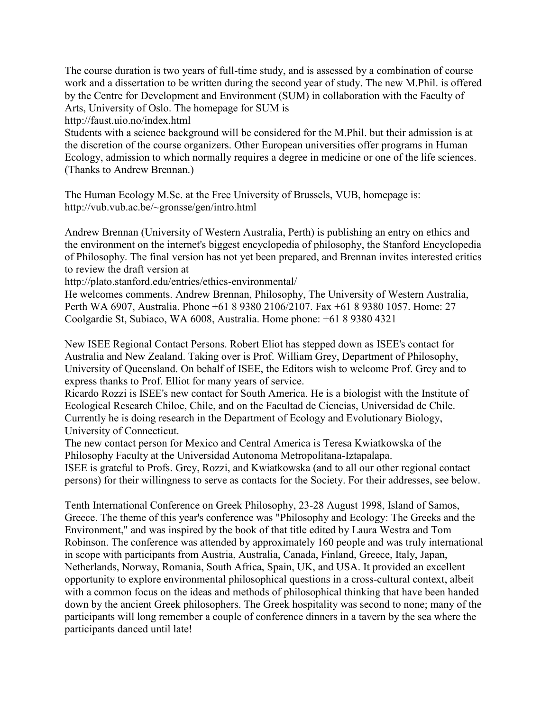The course duration is two years of full-time study, and is assessed by a combination of course work and a dissertation to be written during the second year of study. The new M.Phil. is offered by the Centre for Development and Environment (SUM) in collaboration with the Faculty of Arts, University of Oslo. The homepage for SUM is

http://faust.uio.no/index.html

Students with a science background will be considered for the M.Phil. but their admission is at the discretion of the course organizers. Other European universities offer programs in Human Ecology, admission to which normally requires a degree in medicine or one of the life sciences. (Thanks to Andrew Brennan.)

The Human Ecology M.Sc. at the Free University of Brussels, VUB, homepage is: http://vub.vub.ac.be/~gronsse/gen/intro.html

Andrew Brennan (University of Western Australia, Perth) is publishing an entry on ethics and the environment on the internet's biggest encyclopedia of philosophy, the Stanford Encyclopedia of Philosophy. The final version has not yet been prepared, and Brennan invites interested critics to review the draft version at

http://plato.stanford.edu/entries/ethics-environmental/

He welcomes comments. Andrew Brennan, Philosophy, The University of Western Australia, Perth WA 6907, Australia. Phone +61 8 9380 2106/2107. Fax +61 8 9380 1057. Home: 27 Coolgardie St, Subiaco, WA 6008, Australia. Home phone: +61 8 9380 4321

New ISEE Regional Contact Persons. Robert Eliot has stepped down as ISEE's contact for Australia and New Zealand. Taking over is Prof. William Grey, Department of Philosophy, University of Queensland. On behalf of ISEE, the Editors wish to welcome Prof. Grey and to express thanks to Prof. Elliot for many years of service.

Ricardo Rozzi is ISEE's new contact for South America. He is a biologist with the Institute of Ecological Research Chiloe, Chile, and on the Facultad de Ciencias, Universidad de Chile. Currently he is doing research in the Department of Ecology and Evolutionary Biology, University of Connecticut.

The new contact person for Mexico and Central America is Teresa Kwiatkowska of the Philosophy Faculty at the Universidad Autonoma Metropolitana-Iztapalapa. ISEE is grateful to Profs. Grey, Rozzi, and Kwiatkowska (and to all our other regional contact

persons) for their willingness to serve as contacts for the Society. For their addresses, see below.

Tenth International Conference on Greek Philosophy, 23-28 August 1998, Island of Samos, Greece. The theme of this year's conference was "Philosophy and Ecology: The Greeks and the Environment," and was inspired by the book of that title edited by Laura Westra and Tom Robinson. The conference was attended by approximately 160 people and was truly international in scope with participants from Austria, Australia, Canada, Finland, Greece, Italy, Japan, Netherlands, Norway, Romania, South Africa, Spain, UK, and USA. It provided an excellent opportunity to explore environmental philosophical questions in a cross-cultural context, albeit with a common focus on the ideas and methods of philosophical thinking that have been handed down by the ancient Greek philosophers. The Greek hospitality was second to none; many of the participants will long remember a couple of conference dinners in a tavern by the sea where the participants danced until late!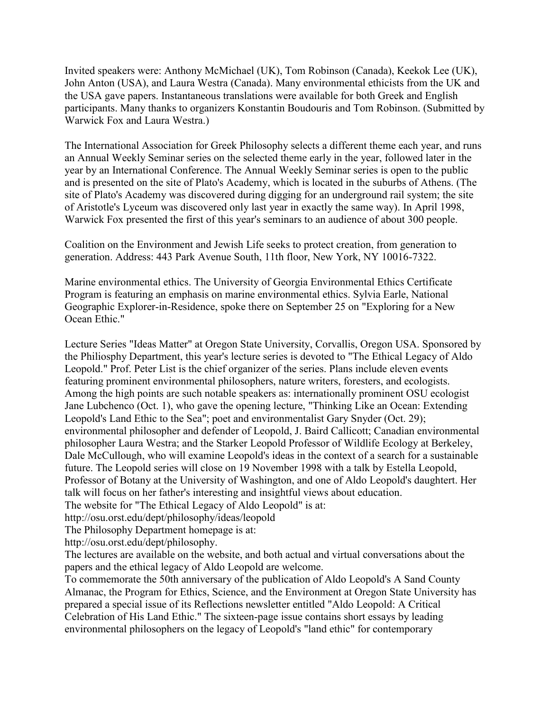Invited speakers were: Anthony McMichael (UK), Tom Robinson (Canada), Keekok Lee (UK), John Anton (USA), and Laura Westra (Canada). Many environmental ethicists from the UK and the USA gave papers. Instantaneous translations were available for both Greek and English participants. Many thanks to organizers Konstantin Boudouris and Tom Robinson. (Submitted by Warwick Fox and Laura Westra.)

The International Association for Greek Philosophy selects a different theme each year, and runs an Annual Weekly Seminar series on the selected theme early in the year, followed later in the year by an International Conference. The Annual Weekly Seminar series is open to the public and is presented on the site of Plato's Academy, which is located in the suburbs of Athens. (The site of Plato's Academy was discovered during digging for an underground rail system; the site of Aristotle's Lyceum was discovered only last year in exactly the same way). In April 1998, Warwick Fox presented the first of this year's seminars to an audience of about 300 people.

Coalition on the Environment and Jewish Life seeks to protect creation, from generation to generation. Address: 443 Park Avenue South, 11th floor, New York, NY 10016-7322.

Marine environmental ethics. The University of Georgia Environmental Ethics Certificate Program is featuring an emphasis on marine environmental ethics. Sylvia Earle, National Geographic Explorer-in-Residence, spoke there on September 25 on "Exploring for a New Ocean Ethic."

Lecture Series "Ideas Matter" at Oregon State University, Corvallis, Oregon USA. Sponsored by the Philiosphy Department, this year's lecture series is devoted to "The Ethical Legacy of Aldo Leopold." Prof. Peter List is the chief organizer of the series. Plans include eleven events featuring prominent environmental philosophers, nature writers, foresters, and ecologists. Among the high points are such notable speakers as: internationally prominent OSU ecologist Jane Lubchenco (Oct. 1), who gave the opening lecture, "Thinking Like an Ocean: Extending Leopold's Land Ethic to the Sea"; poet and environmentalist Gary Snyder (Oct. 29); environmental philosopher and defender of Leopold, J. Baird Callicott; Canadian environmental philosopher Laura Westra; and the Starker Leopold Professor of Wildlife Ecology at Berkeley, Dale McCullough, who will examine Leopold's ideas in the context of a search for a sustainable future. The Leopold series will close on 19 November 1998 with a talk by Estella Leopold, Professor of Botany at the University of Washington, and one of Aldo Leopold's daughtert. Her talk will focus on her father's interesting and insightful views about education.

The website for "The Ethical Legacy of Aldo Leopold" is at:

http://osu.orst.edu/dept/philosophy/ideas/leopold

The Philosophy Department homepage is at:

http://osu.orst.edu/dept/philosophy.

The lectures are available on the website, and both actual and virtual conversations about the papers and the ethical legacy of Aldo Leopold are welcome.

To commemorate the 50th anniversary of the publication of Aldo Leopold's A Sand County Almanac, the Program for Ethics, Science, and the Environment at Oregon State University has prepared a special issue of its Reflections newsletter entitled "Aldo Leopold: A Critical Celebration of His Land Ethic." The sixteen-page issue contains short essays by leading environmental philosophers on the legacy of Leopold's "land ethic" for contemporary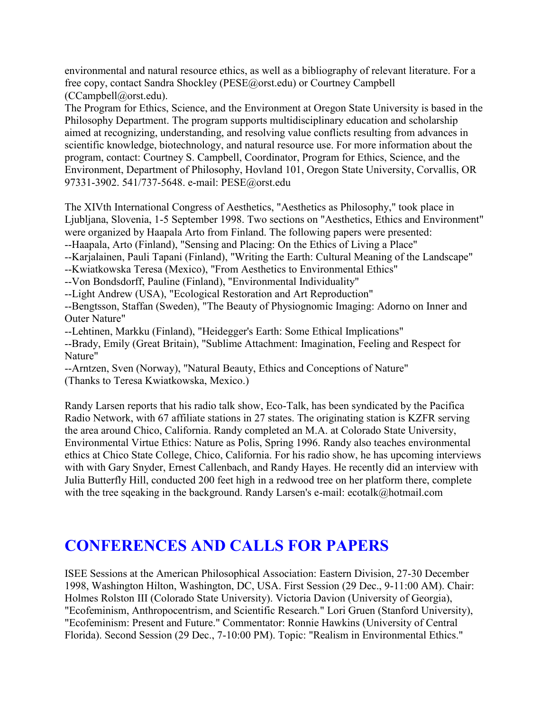environmental and natural resource ethics, as well as a bibliography of relevant literature. For a free copy, contact Sandra Shockley (PESE@orst.edu) or Courtney Campbell (CCampbell@orst.edu).

The Program for Ethics, Science, and the Environment at Oregon State University is based in the Philosophy Department. The program supports multidisciplinary education and scholarship aimed at recognizing, understanding, and resolving value conflicts resulting from advances in scientific knowledge, biotechnology, and natural resource use. For more information about the program, contact: Courtney S. Campbell, Coordinator, Program for Ethics, Science, and the Environment, Department of Philosophy, Hovland 101, Oregon State University, Corvallis, OR 97331-3902. 541/737-5648. e-mail: PESE@orst.edu

The XIVth International Congress of Aesthetics, "Aesthetics as Philosophy," took place in Ljubljana, Slovenia, 1-5 September 1998. Two sections on "Aesthetics, Ethics and Environment" were organized by Haapala Arto from Finland. The following papers were presented:

--Haapala, Arto (Finland), "Sensing and Placing: On the Ethics of Living a Place"

--Karjalainen, Pauli Tapani (Finland), "Writing the Earth: Cultural Meaning of the Landscape"

--Kwiatkowska Teresa (Mexico), "From Aesthetics to Environmental Ethics"

--Von Bondsdorff, Pauline (Finland), "Environmental Individuality"

--Light Andrew (USA), "Ecological Restoration and Art Reproduction"

--Bengtsson, Staffan (Sweden), "The Beauty of Physiognomic Imaging: Adorno on Inner and Outer Nature"

--Lehtinen, Markku (Finland), "Heidegger's Earth: Some Ethical Implications"

--Brady, Emily (Great Britain), "Sublime Attachment: Imagination, Feeling and Respect for Nature"

--Arntzen, Sven (Norway), "Natural Beauty, Ethics and Conceptions of Nature" (Thanks to Teresa Kwiatkowska, Mexico.)

Randy Larsen reports that his radio talk show, Eco-Talk, has been syndicated by the Pacifica Radio Network, with 67 affiliate stations in 27 states. The originating station is KZFR serving the area around Chico, California. Randy completed an M.A. at Colorado State University, Environmental Virtue Ethics: Nature as Polis, Spring 1996. Randy also teaches environmental ethics at Chico State College, Chico, California. For his radio show, he has upcoming interviews with with Gary Snyder, Ernest Callenbach, and Randy Hayes. He recently did an interview with Julia Butterfly Hill, conducted 200 feet high in a redwood tree on her platform there, complete with the tree sqeaking in the background. Randy Larsen's e-mail: ecotalk@hotmail.com

# **CONFERENCES AND CALLS FOR PAPERS**

ISEE Sessions at the American Philosophical Association: Eastern Division, 27-30 December 1998, Washington Hilton, Washington, DC, USA. First Session (29 Dec., 9-11:00 AM). Chair: Holmes Rolston III (Colorado State University). Victoria Davion (University of Georgia), "Ecofeminism, Anthropocentrism, and Scientific Research." Lori Gruen (Stanford University), "Ecofeminism: Present and Future." Commentator: Ronnie Hawkins (University of Central Florida). Second Session (29 Dec., 7-10:00 PM). Topic: "Realism in Environmental Ethics."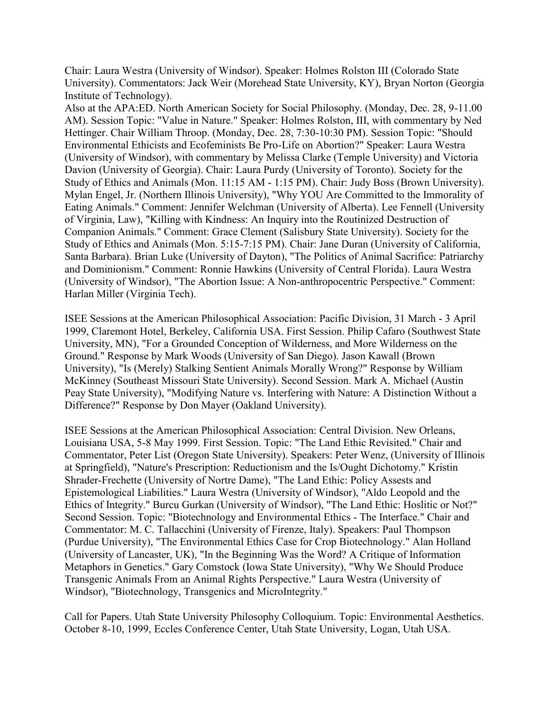Chair: Laura Westra (University of Windsor). Speaker: Holmes Rolston III (Colorado State University). Commentators: Jack Weir (Morehead State University, KY), Bryan Norton (Georgia Institute of Technology).

Also at the APA:ED. North American Society for Social Philosophy. (Monday, Dec. 28, 9-11.00 AM). Session Topic: "Value in Nature." Speaker: Holmes Rolston, III, with commentary by Ned Hettinger. Chair William Throop. (Monday, Dec. 28, 7:30-10:30 PM). Session Topic: "Should Environmental Ethicists and Ecofeminists Be Pro-Life on Abortion?" Speaker: Laura Westra (University of Windsor), with commentary by Melissa Clarke (Temple University) and Victoria Davion (University of Georgia). Chair: Laura Purdy (University of Toronto). Society for the Study of Ethics and Animals (Mon. 11:15 AM - 1:15 PM). Chair: Judy Boss (Brown University). Mylan Engel, Jr. (Northern Illinois University), "Why YOU Are Committed to the Immorality of Eating Animals." Comment: Jennifer Welchman (University of Alberta). Lee Fennell (University of Virginia, Law), "Killing with Kindness: An Inquiry into the Routinized Destruction of Companion Animals." Comment: Grace Clement (Salisbury State University). Society for the Study of Ethics and Animals (Mon. 5:15-7:15 PM). Chair: Jane Duran (University of California, Santa Barbara). Brian Luke (University of Dayton), "The Politics of Animal Sacrifice: Patriarchy and Dominionism." Comment: Ronnie Hawkins (University of Central Florida). Laura Westra (University of Windsor), "The Abortion Issue: A Non-anthropocentric Perspective." Comment: Harlan Miller (Virginia Tech).

ISEE Sessions at the American Philosophical Association: Pacific Division, 31 March - 3 April 1999, Claremont Hotel, Berkeley, California USA. First Session. Philip Cafaro (Southwest State University, MN), "For a Grounded Conception of Wilderness, and More Wilderness on the Ground." Response by Mark Woods (University of San Diego). Jason Kawall (Brown University), "Is (Merely) Stalking Sentient Animals Morally Wrong?" Response by William McKinney (Southeast Missouri State University). Second Session. Mark A. Michael (Austin Peay State University), "Modifying Nature vs. Interfering with Nature: A Distinction Without a Difference?" Response by Don Mayer (Oakland University).

ISEE Sessions at the American Philosophical Association: Central Division. New Orleans, Louisiana USA, 5-8 May 1999. First Session. Topic: "The Land Ethic Revisited." Chair and Commentator, Peter List (Oregon State University). Speakers: Peter Wenz, (University of Illinois at Springfield), "Nature's Prescription: Reductionism and the Is/Ought Dichotomy." Kristin Shrader-Frechette (University of Nortre Dame), "The Land Ethic: Policy Assests and Epistemological Liabilities." Laura Westra (University of Windsor), "Aldo Leopold and the Ethics of Integrity." Burcu Gurkan (University of Windsor), "The Land Ethic: Hoslitic or Not?" Second Session. Topic: "Biotechnology and Environmental Ethics - The Interface." Chair and Commentator: M. C. Tallacchini (University of Firenze, Italy). Speakers: Paul Thompson (Purdue University), "The Environmental Ethics Case for Crop Biotechnology." Alan Holland (University of Lancaster, UK), "In the Beginning Was the Word? A Critique of Information Metaphors in Genetics." Gary Comstock (Iowa State University), "Why We Should Produce Transgenic Animals From an Animal Rights Perspective." Laura Westra (University of Windsor), "Biotechnology, Transgenics and MicroIntegrity."

Call for Papers. Utah State University Philosophy Colloquium. Topic: Environmental Aesthetics. October 8-10, 1999, Eccles Conference Center, Utah State University, Logan, Utah USA.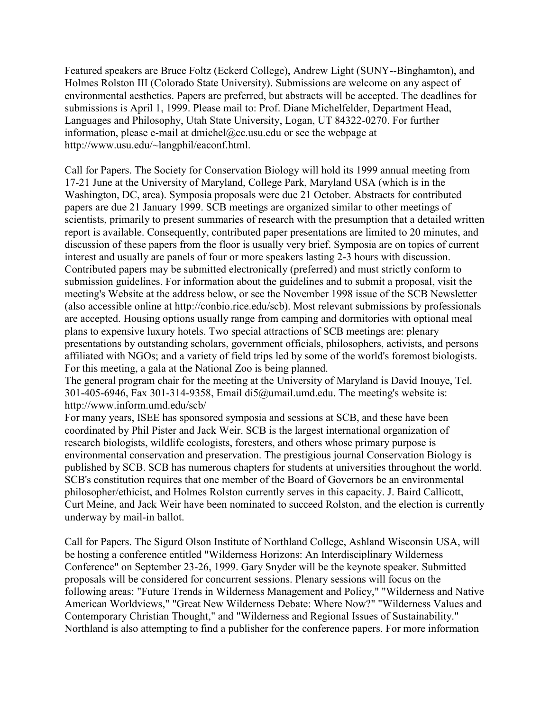Featured speakers are Bruce Foltz (Eckerd College), Andrew Light (SUNY--Binghamton), and Holmes Rolston III (Colorado State University). Submissions are welcome on any aspect of environmental aesthetics. Papers are preferred, but abstracts will be accepted. The deadlines for submissions is April 1, 1999. Please mail to: Prof. Diane Michelfelder, Department Head, Languages and Philosophy, Utah State University, Logan, UT 84322-0270. For further information, please e-mail at dmichel@cc.usu.edu or see the webpage at http://www.usu.edu/~langphil/eaconf.html.

Call for Papers. The Society for Conservation Biology will hold its 1999 annual meeting from 17-21 June at the University of Maryland, College Park, Maryland USA (which is in the Washington, DC, area). Symposia proposals were due 21 October. Abstracts for contributed papers are due 21 January 1999. SCB meetings are organized similar to other meetings of scientists, primarily to present summaries of research with the presumption that a detailed written report is available. Consequently, contributed paper presentations are limited to 20 minutes, and discussion of these papers from the floor is usually very brief. Symposia are on topics of current interest and usually are panels of four or more speakers lasting 2-3 hours with discussion. Contributed papers may be submitted electronically (preferred) and must strictly conform to submission guidelines. For information about the guidelines and to submit a proposal, visit the meeting's Website at the address below, or see the November 1998 issue of the SCB Newsletter (also accessible online at http://conbio.rice.edu/scb). Most relevant submissions by professionals are accepted. Housing options usually range from camping and dormitories with optional meal plans to expensive luxury hotels. Two special attractions of SCB meetings are: plenary presentations by outstanding scholars, government officials, philosophers, activists, and persons affiliated with NGOs; and a variety of field trips led by some of the world's foremost biologists. For this meeting, a gala at the National Zoo is being planned.

The general program chair for the meeting at the University of Maryland is David Inouye, Tel. 301-405-6946, Fax 301-314-9358, Email di5@umail.umd.edu. The meeting's website is: http://www.inform.umd.edu/scb/

For many years, ISEE has sponsored symposia and sessions at SCB, and these have been coordinated by Phil Pister and Jack Weir. SCB is the largest international organization of research biologists, wildlife ecologists, foresters, and others whose primary purpose is environmental conservation and preservation. The prestigious journal Conservation Biology is published by SCB. SCB has numerous chapters for students at universities throughout the world. SCB's constitution requires that one member of the Board of Governors be an environmental philosopher/ethicist, and Holmes Rolston currently serves in this capacity. J. Baird Callicott, Curt Meine, and Jack Weir have been nominated to succeed Rolston, and the election is currently underway by mail-in ballot.

Call for Papers. The Sigurd Olson Institute of Northland College, Ashland Wisconsin USA, will be hosting a conference entitled "Wilderness Horizons: An Interdisciplinary Wilderness Conference" on September 23-26, 1999. Gary Snyder will be the keynote speaker. Submitted proposals will be considered for concurrent sessions. Plenary sessions will focus on the following areas: "Future Trends in Wilderness Management and Policy," "Wilderness and Native American Worldviews," "Great New Wilderness Debate: Where Now?" "Wilderness Values and Contemporary Christian Thought," and "Wilderness and Regional Issues of Sustainability." Northland is also attempting to find a publisher for the conference papers. For more information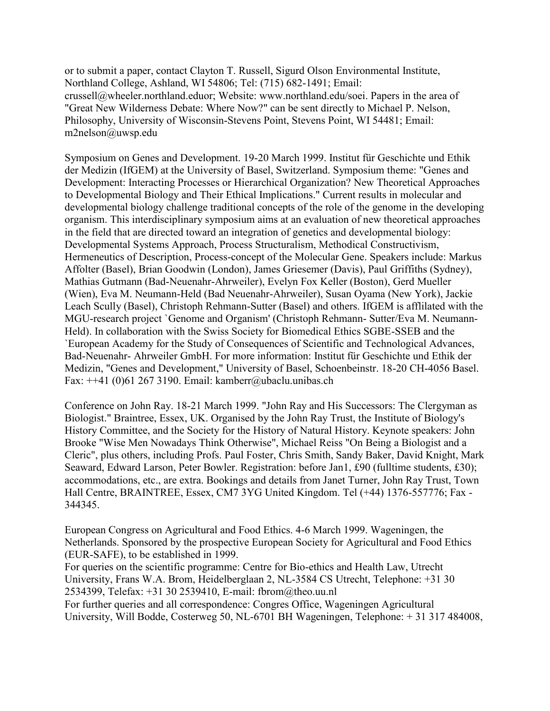or to submit a paper, contact Clayton T. Russell, Sigurd Olson Environmental Institute, Northland College, Ashland, WI 54806; Tel: (715) 682-1491; Email: crussell@wheeler.northland.eduor; Website: www.northland.edu/soei. Papers in the area of "Great New Wilderness Debate: Where Now?" can be sent directly to Michael P. Nelson, Philosophy, University of Wisconsin-Stevens Point, Stevens Point, WI 54481; Email: m2nelson@uwsp.edu

Symposium on Genes and Development. 19-20 March 1999. Institut für Geschichte und Ethik der Medizin (IfGEM) at the University of Basel, Switzerland. Symposium theme: "Genes and Development: Interacting Processes or Hierarchical Organization? New Theoretical Approaches to Developmental Biology and Their Ethical Implications." Current results in molecular and developmental biology challenge traditional concepts of the role of the genome in the developing organism. This interdisciplinary symposium aims at an evaluation of new theoretical approaches in the field that are directed toward an integration of genetics and developmental biology: Developmental Systems Approach, Process Structuralism, Methodical Constructivism, Hermeneutics of Description, Process-concept of the Molecular Gene. Speakers include: Markus Affolter (Basel), Brian Goodwin (London), James Griesemer (Davis), Paul Griffiths (Sydney), Mathias Gutmann (Bad-Neuenahr-Ahrweiler), Evelyn Fox Keller (Boston), Gerd Mueller (Wien), Eva M. Neumann-Held (Bad Neuenahr-Ahrweiler), Susan Oyama (New York), Jackie Leach Scully (Basel), Christoph Rehmann-Sutter (Basel) and others. IfGEM is afflilated with the MGU-research project `Genome and Organism' (Christoph Rehmann- Sutter/Eva M. Neumann-Held). In collaboration with the Swiss Society for Biomedical Ethics SGBE-SSEB and the `European Academy for the Study of Consequences of Scientific and Technological Advances, Bad-Neuenahr- Ahrweiler GmbH. For more information: Institut für Geschichte und Ethik der Medizin, "Genes and Development," University of Basel, Schoenbeinstr. 18-20 CH-4056 Basel. Fax:  $++41$  (0)61 267 3190. Email: kamberr@ubaclu.unibas.ch

Conference on John Ray. 18-21 March 1999. "John Ray and His Successors: The Clergyman as Biologist." Braintree, Essex, UK. Organised by the John Ray Trust, the Institute of Biology's History Committee, and the Society for the History of Natural History. Keynote speakers: John Brooke "Wise Men Nowadays Think Otherwise", Michael Reiss "On Being a Biologist and a Cleric", plus others, including Profs. Paul Foster, Chris Smith, Sandy Baker, David Knight, Mark Seaward, Edward Larson, Peter Bowler. Registration: before Jan1, £90 (fulltime students, £30); accommodations, etc., are extra. Bookings and details from Janet Turner, John Ray Trust, Town Hall Centre, BRAINTREE, Essex, CM7 3YG United Kingdom. Tel (+44) 1376-557776; Fax - 344345.

European Congress on Agricultural and Food Ethics. 4-6 March 1999. Wageningen, the Netherlands. Sponsored by the prospective European Society for Agricultural and Food Ethics (EUR-SAFE), to be established in 1999.

For queries on the scientific programme: Centre for Bio-ethics and Health Law, Utrecht University, Frans W.A. Brom, Heidelberglaan 2, NL-3584 CS Utrecht, Telephone: +31 30 2534399, Telefax: +31 30 2539410, E-mail: fbrom@theo.uu.nl

For further queries and all correspondence: Congres Office, Wageningen Agricultural University, Will Bodde, Costerweg 50, NL-6701 BH Wageningen, Telephone: + 31 317 484008,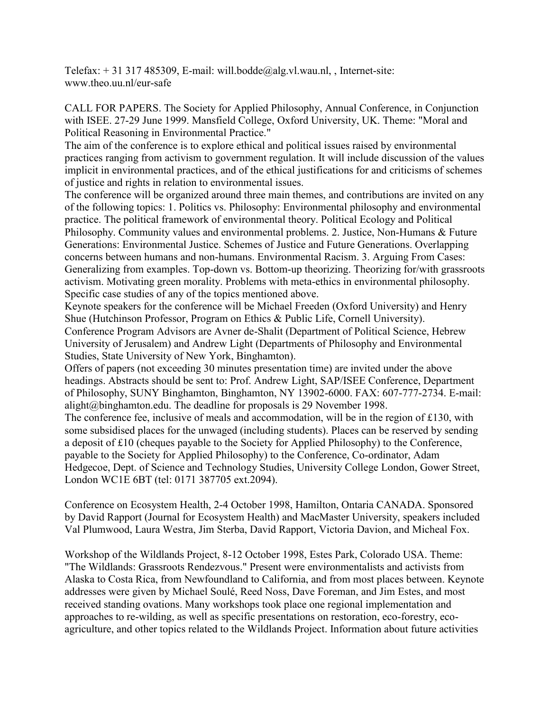Telefax:  $+31317485309$ , E-mail: will.bodde@alg.vl.wau.nl, , Internet-site: www.theo.uu.nl/eur-safe

CALL FOR PAPERS. The Society for Applied Philosophy, Annual Conference, in Conjunction with ISEE. 27-29 June 1999. Mansfield College, Oxford University, UK. Theme: "Moral and Political Reasoning in Environmental Practice."

The aim of the conference is to explore ethical and political issues raised by environmental practices ranging from activism to government regulation. It will include discussion of the values implicit in environmental practices, and of the ethical justifications for and criticisms of schemes of justice and rights in relation to environmental issues.

The conference will be organized around three main themes, and contributions are invited on any of the following topics: 1. Politics vs. Philosophy: Environmental philosophy and environmental practice. The political framework of environmental theory. Political Ecology and Political Philosophy. Community values and environmental problems. 2. Justice, Non-Humans & Future Generations: Environmental Justice. Schemes of Justice and Future Generations. Overlapping concerns between humans and non-humans. Environmental Racism. 3. Arguing From Cases: Generalizing from examples. Top-down vs. Bottom-up theorizing. Theorizing for/with grassroots activism. Motivating green morality. Problems with meta-ethics in environmental philosophy. Specific case studies of any of the topics mentioned above.

Keynote speakers for the conference will be Michael Freeden (Oxford University) and Henry Shue (Hutchinson Professor, Program on Ethics & Public Life, Cornell University).

Conference Program Advisors are Avner de-Shalit (Department of Political Science, Hebrew University of Jerusalem) and Andrew Light (Departments of Philosophy and Environmental Studies, State University of New York, Binghamton).

Offers of papers (not exceeding 30 minutes presentation time) are invited under the above headings. Abstracts should be sent to: Prof. Andrew Light, SAP/ISEE Conference, Department of Philosophy, SUNY Binghamton, Binghamton, NY 13902-6000. FAX: 607-777-2734. E-mail: alight@binghamton.edu. The deadline for proposals is 29 November 1998.

The conference fee, inclusive of meals and accommodation, will be in the region of £130, with some subsidised places for the unwaged (including students). Places can be reserved by sending a deposit of £10 (cheques payable to the Society for Applied Philosophy) to the Conference, payable to the Society for Applied Philosophy) to the Conference, Co-ordinator, Adam Hedgecoe, Dept. of Science and Technology Studies, University College London, Gower Street, London WC1E 6BT (tel: 0171 387705 ext.2094).

Conference on Ecosystem Health, 2-4 October 1998, Hamilton, Ontaria CANADA. Sponsored by David Rapport (Journal for Ecosystem Health) and MacMaster University, speakers included Val Plumwood, Laura Westra, Jim Sterba, David Rapport, Victoria Davion, and Micheal Fox.

Workshop of the Wildlands Project, 8-12 October 1998, Estes Park, Colorado USA. Theme: "The Wildlands: Grassroots Rendezvous." Present were environmentalists and activists from Alaska to Costa Rica, from Newfoundland to California, and from most places between. Keynote addresses were given by Michael Soulé, Reed Noss, Dave Foreman, and Jim Estes, and most received standing ovations. Many workshops took place one regional implementation and approaches to re-wilding, as well as specific presentations on restoration, eco-forestry, ecoagriculture, and other topics related to the Wildlands Project. Information about future activities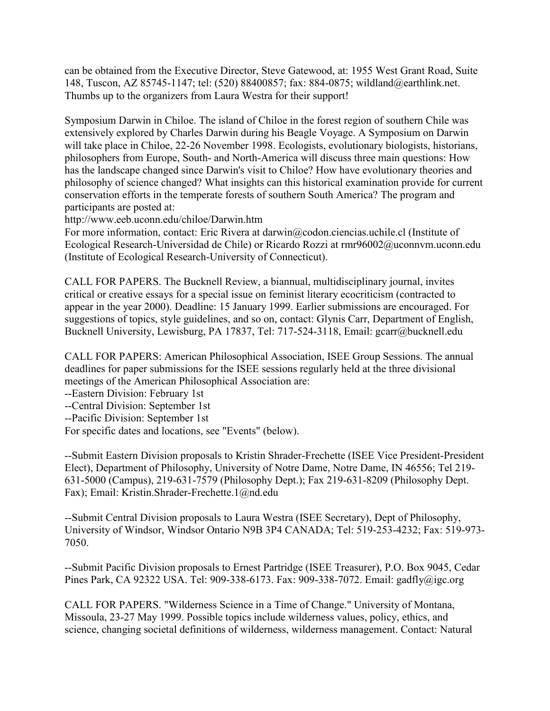can be obtained from the Executive Director, Steve Gatewood, at: 1955 West Grant Road, Suite 148, Tuscon, AZ 85745-1147; tel: (520) 88400857; fax: 884-0875; wildland@earthlink.net. Thumbs up to the organizers from Laura Westra for their support!

Symposium Darwin in Chiloe. The island of Chiloe in the forest region of southern Chile was extensively explored by Charles Darwin during his Beagle Voyage. A Symposium on Darwin will take place in Chiloe, 22-26 November 1998. Ecologists, evolutionary biologists, historians, philosophers from Europe, South- and North-America will discuss three main questions: How has the landscape changed since Darwin's visit to Chiloe? How have evolutionary theories and philosophy of science changed? What insights can this historical examination provide for current conservation efforts in the temperate forests of southern South America? The program and participants are posted at:

http://www.eeb.uconn.edu/chiloe/Darwin.htm

For more information, contact: Eric Rivera at darwin@codon.ciencias.uchile.cl (Institute of Ecological Research-Universidad de Chile) or Ricardo Rozzi at rmr96002@uconnvm.uconn.edu (Institute of Ecological Research-University of Connecticut).

CALL FOR PAPERS. The Bucknell Review, a biannual, multidisciplinary journal, invites critical or creative essays for a special issue on feminist literary ecocriticism (contracted to appear in the year 2000). Deadline: 15 January 1999. Earlier submissions are encouraged. For suggestions of topics, style guidelines, and so on, contact: Glynis Carr, Department of English, Bucknell University, Lewisburg, PA 17837, Tel: 717-524-3118, Email: gcarr@bucknell.edu

CALL FOR PAPERS: American Philosophical Association, ISEE Group Sessions. The annual deadlines for paper submissions for the ISEE sessions regularly held at the three divisional meetings of the American Philosophical Association are:

--Eastern Division: February 1st

--Central Division: September 1st

--Pacific Division: September 1st

For specific dates and locations, see "Events" (below).

--Submit Eastern Division proposals to Kristin Shrader-Frechette (ISEE Vice President-President Elect), Department of Philosophy, University of Notre Dame, Notre Dame, IN 46556; Tel 219- 631-5000 (Campus), 219-631-7579 (Philosophy Dept.); Fax 219-631-8209 (Philosophy Dept. Fax); Email: Kristin.Shrader-Frechette.1@nd.edu

--Submit Central Division proposals to Laura Westra (ISEE Secretary), Dept of Philosophy, University of Windsor, Windsor Ontario N9B 3P4 CANADA; Tel: 519-253-4232; Fax: 519-973- 7050.

--Submit Pacific Division proposals to Ernest Partridge (ISEE Treasurer), P.O. Box 9045, Cedar Pines Park, CA 92322 USA. Tel: 909-338-6173. Fax: 909-338-7072. Email: gadfly@igc.org

CALL FOR PAPERS. "Wilderness Science in a Time of Change." University of Montana, Missoula, 23-27 May 1999. Possible topics include wilderness values, policy, ethics, and science, changing societal definitions of wilderness, wilderness management. Contact: Natural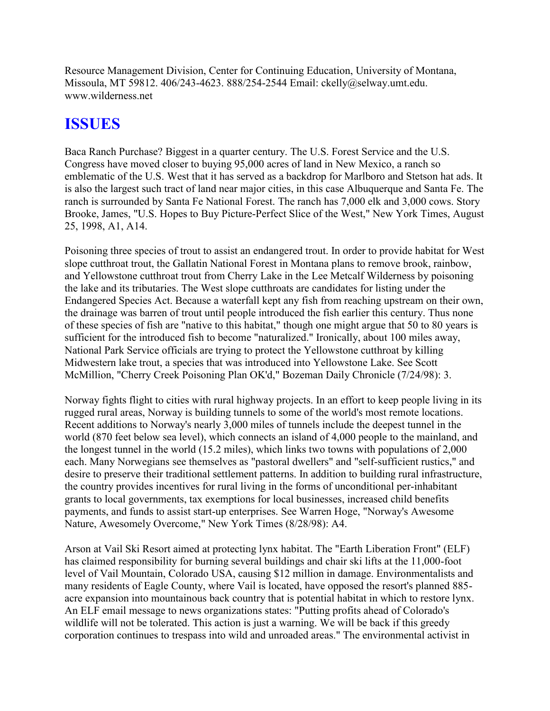Resource Management Division, Center for Continuing Education, University of Montana, Missoula, MT 59812. 406/243-4623. 888/254-2544 Email: ckelly@selway.umt.edu. www.wilderness.net

# **ISSUES**

Baca Ranch Purchase? Biggest in a quarter century. The U.S. Forest Service and the U.S. Congress have moved closer to buying 95,000 acres of land in New Mexico, a ranch so emblematic of the U.S. West that it has served as a backdrop for Marlboro and Stetson hat ads. It is also the largest such tract of land near major cities, in this case Albuquerque and Santa Fe. The ranch is surrounded by Santa Fe National Forest. The ranch has 7,000 elk and 3,000 cows. Story Brooke, James, "U.S. Hopes to Buy Picture-Perfect Slice of the West," New York Times, August 25, 1998, A1, A14.

Poisoning three species of trout to assist an endangered trout. In order to provide habitat for West slope cutthroat trout, the Gallatin National Forest in Montana plans to remove brook, rainbow, and Yellowstone cutthroat trout from Cherry Lake in the Lee Metcalf Wilderness by poisoning the lake and its tributaries. The West slope cutthroats are candidates for listing under the Endangered Species Act. Because a waterfall kept any fish from reaching upstream on their own, the drainage was barren of trout until people introduced the fish earlier this century. Thus none of these species of fish are "native to this habitat," though one might argue that 50 to 80 years is sufficient for the introduced fish to become "naturalized." Ironically, about 100 miles away, National Park Service officials are trying to protect the Yellowstone cutthroat by killing Midwestern lake trout, a species that was introduced into Yellowstone Lake. See Scott McMillion, "Cherry Creek Poisoning Plan OK'd," Bozeman Daily Chronicle (7/24/98): 3.

Norway fights flight to cities with rural highway projects. In an effort to keep people living in its rugged rural areas, Norway is building tunnels to some of the world's most remote locations. Recent additions to Norway's nearly 3,000 miles of tunnels include the deepest tunnel in the world (870 feet below sea level), which connects an island of 4,000 people to the mainland, and the longest tunnel in the world (15.2 miles), which links two towns with populations of 2,000 each. Many Norwegians see themselves as "pastoral dwellers" and "self-sufficient rustics," and desire to preserve their traditional settlement patterns. In addition to building rural infrastructure, the country provides incentives for rural living in the forms of unconditional per-inhabitant grants to local governments, tax exemptions for local businesses, increased child benefits payments, and funds to assist start-up enterprises. See Warren Hoge, "Norway's Awesome Nature, Awesomely Overcome," New York Times (8/28/98): A4.

Arson at Vail Ski Resort aimed at protecting lynx habitat. The "Earth Liberation Front" (ELF) has claimed responsibility for burning several buildings and chair ski lifts at the 11,000-foot level of Vail Mountain, Colorado USA, causing \$12 million in damage. Environmentalists and many residents of Eagle County, where Vail is located, have opposed the resort's planned 885 acre expansion into mountainous back country that is potential habitat in which to restore lynx. An ELF email message to news organizations states: "Putting profits ahead of Colorado's wildlife will not be tolerated. This action is just a warning. We will be back if this greedy corporation continues to trespass into wild and unroaded areas." The environmental activist in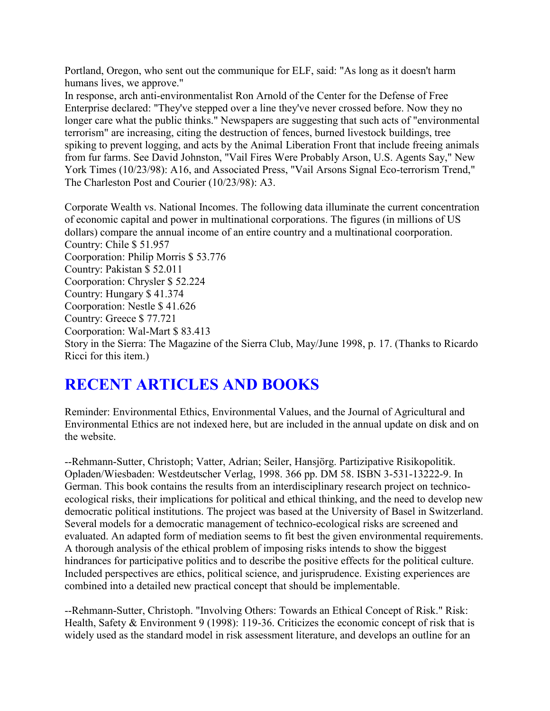Portland, Oregon, who sent out the communique for ELF, said: "As long as it doesn't harm humans lives, we approve."

In response, arch anti-environmentalist Ron Arnold of the Center for the Defense of Free Enterprise declared: "They've stepped over a line they've never crossed before. Now they no longer care what the public thinks." Newspapers are suggesting that such acts of "environmental terrorism" are increasing, citing the destruction of fences, burned livestock buildings, tree spiking to prevent logging, and acts by the Animal Liberation Front that include freeing animals from fur farms. See David Johnston, "Vail Fires Were Probably Arson, U.S. Agents Say," New York Times (10/23/98): A16, and Associated Press, "Vail Arsons Signal Eco-terrorism Trend," The Charleston Post and Courier (10/23/98): A3.

Corporate Wealth vs. National Incomes. The following data illuminate the current concentration of economic capital and power in multinational corporations. The figures (in millions of US dollars) compare the annual income of an entire country and a multinational coorporation. Country: Chile \$ 51.957 Coorporation: Philip Morris \$ 53.776 Country: Pakistan \$ 52.011 Coorporation: Chrysler \$ 52.224 Country: Hungary \$ 41.374 Coorporation: Nestle \$ 41.626 Country: Greece \$ 77.721 Coorporation: Wal-Mart \$ 83.413 Story in the Sierra: The Magazine of the Sierra Club, May/June 1998, p. 17. (Thanks to Ricardo Ricci for this item.)

# **RECENT ARTICLES AND BOOKS**

Reminder: Environmental Ethics, Environmental Values, and the Journal of Agricultural and Environmental Ethics are not indexed here, but are included in the annual update on disk and on the website.

--Rehmann-Sutter, Christoph; Vatter, Adrian; Seiler, Hansjörg. Partizipative Risikopolitik. Opladen/Wiesbaden: Westdeutscher Verlag, 1998. 366 pp. DM 58. ISBN 3-531-13222-9. In German. This book contains the results from an interdisciplinary research project on technicoecological risks, their implications for political and ethical thinking, and the need to develop new democratic political institutions. The project was based at the University of Basel in Switzerland. Several models for a democratic management of technico-ecological risks are screened and evaluated. An adapted form of mediation seems to fit best the given environmental requirements. A thorough analysis of the ethical problem of imposing risks intends to show the biggest hindrances for participative politics and to describe the positive effects for the political culture. Included perspectives are ethics, political science, and jurisprudence. Existing experiences are combined into a detailed new practical concept that should be implementable.

--Rehmann-Sutter, Christoph. "Involving Others: Towards an Ethical Concept of Risk." Risk: Health, Safety & Environment 9 (1998): 119-36. Criticizes the economic concept of risk that is widely used as the standard model in risk assessment literature, and develops an outline for an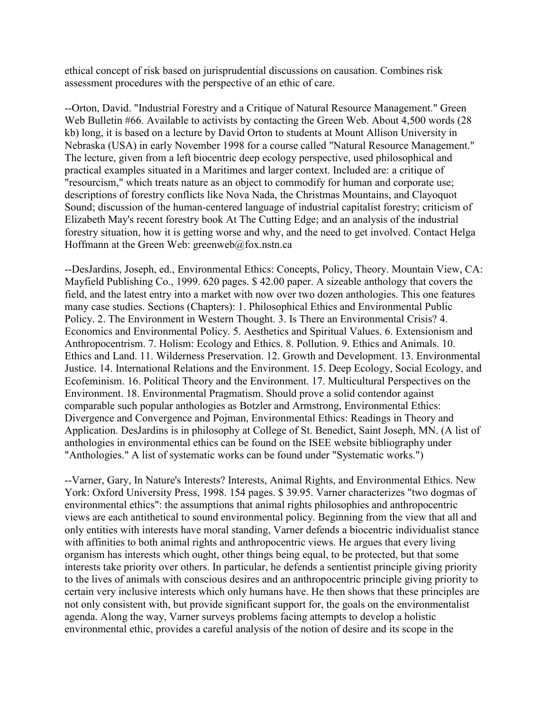ethical concept of risk based on jurisprudential discussions on causation. Combines risk assessment procedures with the perspective of an ethic of care.

--Orton, David. "Industrial Forestry and a Critique of Natural Resource Management." Green Web Bulletin #66. Available to activists by contacting the Green Web. About 4,500 words (28) kb) long, it is based on a lecture by David Orton to students at Mount Allison University in Nebraska (USA) in early November 1998 for a course called "Natural Resource Management." The lecture, given from a left biocentric deep ecology perspective, used philosophical and practical examples situated in a Maritimes and larger context. Included are: a critique of "resourcism," which treats nature as an object to commodify for human and corporate use; descriptions of forestry conflicts like Nova Nada, the Christmas Mountains, and Clayoquot Sound; discussion of the human-centered language of industrial capitalist forestry; criticism of Elizabeth May's recent forestry book At The Cutting Edge; and an analysis of the industrial forestry situation, how it is getting worse and why, and the need to get involved. Contact Helga Hoffmann at the Green Web: greenweb@fox.nstn.ca

--DesJardins, Joseph, ed., Environmental Ethics: Concepts, Policy, Theory. Mountain View, CA: Mayfield Publishing Co., 1999. 620 pages. \$ 42.00 paper. A sizeable anthology that covers the field, and the latest entry into a market with now over two dozen anthologies. This one features many case studies. Sections (Chapters): 1. Philosophical Ethics and Environmental Public Policy. 2. The Environment in Western Thought. 3. Is There an Environmental Crisis? 4. Economics and Environmental Policy. 5. Aesthetics and Spiritual Values. 6. Extensionism and Anthropocentrism. 7. Holism: Ecology and Ethics. 8. Pollution. 9. Ethics and Animals. 10. Ethics and Land. 11. Wilderness Preservation. 12. Growth and Development. 13. Environmental Justice. 14. International Relations and the Environment. 15. Deep Ecology, Social Ecology, and Ecofeminism. 16. Political Theory and the Environment. 17. Multicultural Perspectives on the Environment. 18. Environmental Pragmatism. Should prove a solid contendor against comparable such popular anthologies as Botzler and Armstrong, Environmental Ethics: Divergence and Convergence and Pojman, Environmental Ethics: Readings in Theory and Application. DesJardins is in philosophy at College of St. Benedict, Saint Joseph, MN. (A list of anthologies in environmental ethics can be found on the ISEE website bibliography under "Anthologies." A list of systematic works can be found under "Systematic works.")

--Varner, Gary, In Nature's Interests? Interests, Animal Rights, and Environmental Ethics. New York: Oxford University Press, 1998. 154 pages. \$ 39.95. Varner characterizes "two dogmas of environmental ethics": the assumptions that animal rights philosophies and anthropocentric views are each antithetical to sound environmental policy. Beginning from the view that all and only entities with interests have moral standing, Varner defends a biocentric individualist stance with affinities to both animal rights and anthropocentric views. He argues that every living organism has interests which ought, other things being equal, to be protected, but that some interests take priority over others. In particular, he defends a sentientist principle giving priority to the lives of animals with conscious desires and an anthropocentric principle giving priority to certain very inclusive interests which only humans have. He then shows that these principles are not only consistent with, but provide significant support for, the goals on the environmentalist agenda. Along the way, Varner surveys problems facing attempts to develop a holistic environmental ethic, provides a careful analysis of the notion of desire and its scope in the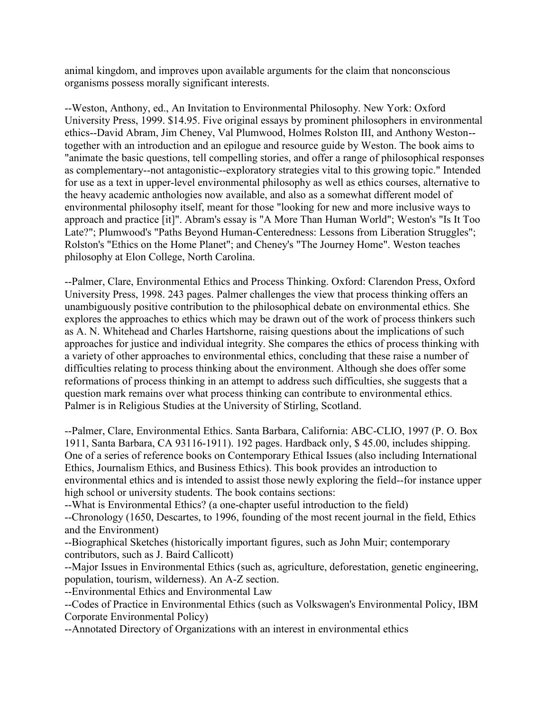animal kingdom, and improves upon available arguments for the claim that nonconscious organisms possess morally significant interests.

--Weston, Anthony, ed., An Invitation to Environmental Philosophy. New York: Oxford University Press, 1999. \$14.95. Five original essays by prominent philosophers in environmental ethics--David Abram, Jim Cheney, Val Plumwood, Holmes Rolston III, and Anthony Weston- together with an introduction and an epilogue and resource guide by Weston. The book aims to "animate the basic questions, tell compelling stories, and offer a range of philosophical responses as complementary--not antagonistic--exploratory strategies vital to this growing topic." Intended for use as a text in upper-level environmental philosophy as well as ethics courses, alternative to the heavy academic anthologies now available, and also as a somewhat different model of environmental philosophy itself, meant for those "looking for new and more inclusive ways to approach and practice [it]". Abram's essay is "A More Than Human World"; Weston's "Is It Too Late?"; Plumwood's "Paths Beyond Human-Centeredness: Lessons from Liberation Struggles"; Rolston's "Ethics on the Home Planet"; and Cheney's "The Journey Home". Weston teaches philosophy at Elon College, North Carolina.

--Palmer, Clare, Environmental Ethics and Process Thinking. Oxford: Clarendon Press, Oxford University Press, 1998. 243 pages. Palmer challenges the view that process thinking offers an unambiguously positive contribution to the philosophical debate on environmental ethics. She explores the approaches to ethics which may be drawn out of the work of process thinkers such as A. N. Whitehead and Charles Hartshorne, raising questions about the implications of such approaches for justice and individual integrity. She compares the ethics of process thinking with a variety of other approaches to environmental ethics, concluding that these raise a number of difficulties relating to process thinking about the environment. Although she does offer some reformations of process thinking in an attempt to address such difficulties, she suggests that a question mark remains over what process thinking can contribute to environmental ethics. Palmer is in Religious Studies at the University of Stirling, Scotland.

--Palmer, Clare, Environmental Ethics. Santa Barbara, California: ABC-CLIO, 1997 (P. O. Box 1911, Santa Barbara, CA 93116-1911). 192 pages. Hardback only, \$ 45.00, includes shipping. One of a series of reference books on Contemporary Ethical Issues (also including International Ethics, Journalism Ethics, and Business Ethics). This book provides an introduction to environmental ethics and is intended to assist those newly exploring the field--for instance upper high school or university students. The book contains sections:

--What is Environmental Ethics? (a one-chapter useful introduction to the field)

--Chronology (1650, Descartes, to 1996, founding of the most recent journal in the field, Ethics and the Environment)

--Biographical Sketches (historically important figures, such as John Muir; contemporary contributors, such as J. Baird Callicott)

--Major Issues in Environmental Ethics (such as, agriculture, deforestation, genetic engineering, population, tourism, wilderness). An A-Z section.

--Environmental Ethics and Environmental Law

--Codes of Practice in Environmental Ethics (such as Volkswagen's Environmental Policy, IBM Corporate Environmental Policy)

--Annotated Directory of Organizations with an interest in environmental ethics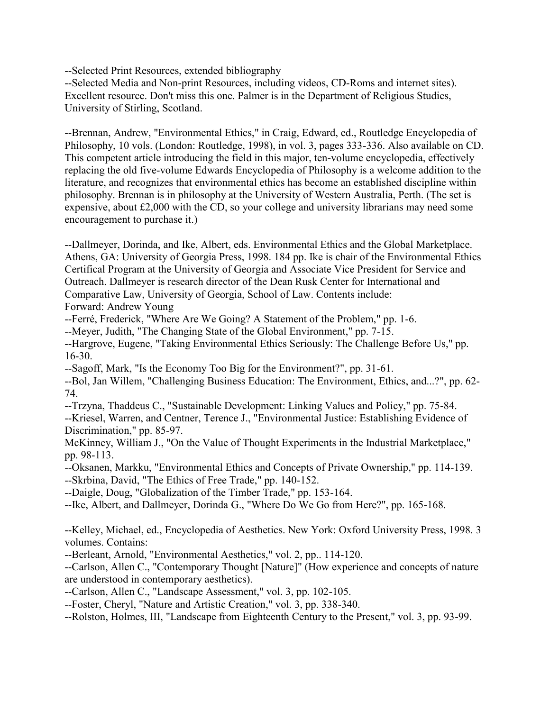--Selected Print Resources, extended bibliography

--Selected Media and Non-print Resources, including videos, CD-Roms and internet sites). Excellent resource. Don't miss this one. Palmer is in the Department of Religious Studies, University of Stirling, Scotland.

--Brennan, Andrew, "Environmental Ethics," in Craig, Edward, ed., Routledge Encyclopedia of Philosophy, 10 vols. (London: Routledge, 1998), in vol. 3, pages 333-336. Also available on CD. This competent article introducing the field in this major, ten-volume encyclopedia, effectively replacing the old five-volume Edwards Encyclopedia of Philosophy is a welcome addition to the literature, and recognizes that environmental ethics has become an established discipline within philosophy. Brennan is in philosophy at the University of Western Australia, Perth. (The set is expensive, about £2,000 with the CD, so your college and university librarians may need some encouragement to purchase it.)

--Dallmeyer, Dorinda, and Ike, Albert, eds. Environmental Ethics and the Global Marketplace. Athens, GA: University of Georgia Press, 1998. 184 pp. Ike is chair of the Environmental Ethics Certifical Program at the University of Georgia and Associate Vice President for Service and Outreach. Dallmeyer is research director of the Dean Rusk Center for International and Comparative Law, University of Georgia, School of Law. Contents include: Forward: Andrew Young

--Ferré, Frederick, "Where Are We Going? A Statement of the Problem," pp. 1-6.

--Meyer, Judith, "The Changing State of the Global Environment," pp. 7-15.

--Hargrove, Eugene, "Taking Environmental Ethics Seriously: The Challenge Before Us," pp. 16-30.

--Sagoff, Mark, "Is the Economy Too Big for the Environment?", pp. 31-61.

--Bol, Jan Willem, "Challenging Business Education: The Environment, Ethics, and...?", pp. 62- 74.

--Trzyna, Thaddeus C., "Sustainable Development: Linking Values and Policy," pp. 75-84. --Kriesel, Warren, and Centner, Terence J., "Environmental Justice: Establishing Evidence of Discrimination," pp. 85-97.

McKinney, William J., "On the Value of Thought Experiments in the Industrial Marketplace," pp. 98-113.

--Oksanen, Markku, "Environmental Ethics and Concepts of Private Ownership," pp. 114-139. --Skrbina, David, "The Ethics of Free Trade," pp. 140-152.

--Daigle, Doug, "Globalization of the Timber Trade," pp. 153-164.

--Ike, Albert, and Dallmeyer, Dorinda G., "Where Do We Go from Here?", pp. 165-168.

--Kelley, Michael, ed., Encyclopedia of Aesthetics. New York: Oxford University Press, 1998. 3 volumes. Contains:

--Berleant, Arnold, "Environmental Aesthetics," vol. 2, pp.. 114-120.

--Carlson, Allen C., "Contemporary Thought [Nature]" (How experience and concepts of nature are understood in contemporary aesthetics).

--Carlson, Allen C., "Landscape Assessment," vol. 3, pp. 102-105.

--Foster, Cheryl, "Nature and Artistic Creation," vol. 3, pp. 338-340.

--Rolston, Holmes, III, "Landscape from Eighteenth Century to the Present," vol. 3, pp. 93-99.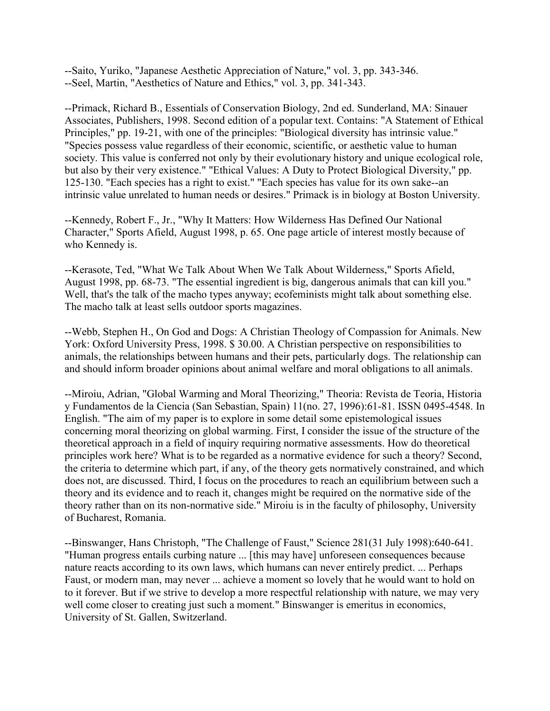--Saito, Yuriko, "Japanese Aesthetic Appreciation of Nature," vol. 3, pp. 343-346. --Seel, Martin, "Aesthetics of Nature and Ethics," vol. 3, pp. 341-343.

--Primack, Richard B., Essentials of Conservation Biology, 2nd ed. Sunderland, MA: Sinauer Associates, Publishers, 1998. Second edition of a popular text. Contains: "A Statement of Ethical Principles," pp. 19-21, with one of the principles: "Biological diversity has intrinsic value." "Species possess value regardless of their economic, scientific, or aesthetic value to human society. This value is conferred not only by their evolutionary history and unique ecological role, but also by their very existence." "Ethical Values: A Duty to Protect Biological Diversity," pp. 125-130. "Each species has a right to exist." "Each species has value for its own sake--an intrinsic value unrelated to human needs or desires." Primack is in biology at Boston University.

--Kennedy, Robert F., Jr., "Why It Matters: How Wilderness Has Defined Our National Character," Sports Afield, August 1998, p. 65. One page article of interest mostly because of who Kennedy is.

--Kerasote, Ted, "What We Talk About When We Talk About Wilderness," Sports Afield, August 1998, pp. 68-73. "The essential ingredient is big, dangerous animals that can kill you." Well, that's the talk of the macho types anyway; ecofeminists might talk about something else. The macho talk at least sells outdoor sports magazines.

--Webb, Stephen H., On God and Dogs: A Christian Theology of Compassion for Animals. New York: Oxford University Press, 1998. \$ 30.00. A Christian perspective on responsibilities to animals, the relationships between humans and their pets, particularly dogs. The relationship can and should inform broader opinions about animal welfare and moral obligations to all animals.

--Miroiu, Adrian, "Global Warming and Moral Theorizing," Theoria: Revista de Teoria, Historia y Fundamentos de la Ciencia (San Sebastian, Spain) 11(no. 27, 1996):61-81. ISSN 0495-4548. In English. "The aim of my paper is to explore in some detail some epistemological issues concerning moral theorizing on global warming. First, I consider the issue of the structure of the theoretical approach in a field of inquiry requiring normative assessments. How do theoretical principles work here? What is to be regarded as a normative evidence for such a theory? Second, the criteria to determine which part, if any, of the theory gets normatively constrained, and which does not, are discussed. Third, I focus on the procedures to reach an equilibrium between such a theory and its evidence and to reach it, changes might be required on the normative side of the theory rather than on its non-normative side." Miroiu is in the faculty of philosophy, University of Bucharest, Romania.

--Binswanger, Hans Christoph, "The Challenge of Faust," Science 281(31 July 1998):640-641. "Human progress entails curbing nature ... [this may have] unforeseen consequences because nature reacts according to its own laws, which humans can never entirely predict. ... Perhaps Faust, or modern man, may never ... achieve a moment so lovely that he would want to hold on to it forever. But if we strive to develop a more respectful relationship with nature, we may very well come closer to creating just such a moment." Binswanger is emeritus in economics, University of St. Gallen, Switzerland.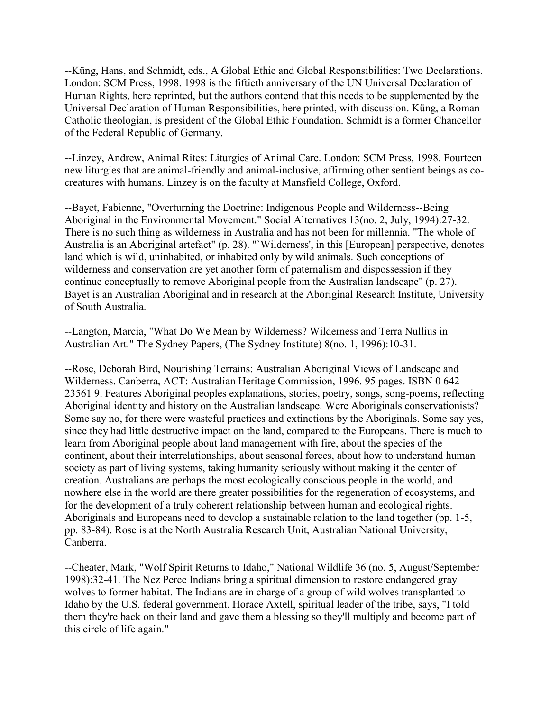--Küng, Hans, and Schmidt, eds., A Global Ethic and Global Responsibilities: Two Declarations. London: SCM Press, 1998. 1998 is the fiftieth anniversary of the UN Universal Declaration of Human Rights, here reprinted, but the authors contend that this needs to be supplemented by the Universal Declaration of Human Responsibilities, here printed, with discussion. Küng, a Roman Catholic theologian, is president of the Global Ethic Foundation. Schmidt is a former Chancellor of the Federal Republic of Germany.

--Linzey, Andrew, Animal Rites: Liturgies of Animal Care. London: SCM Press, 1998. Fourteen new liturgies that are animal-friendly and animal-inclusive, affirming other sentient beings as cocreatures with humans. Linzey is on the faculty at Mansfield College, Oxford.

--Bayet, Fabienne, "Overturning the Doctrine: Indigenous People and Wilderness--Being Aboriginal in the Environmental Movement." Social Alternatives 13(no. 2, July, 1994):27-32. There is no such thing as wilderness in Australia and has not been for millennia. "The whole of Australia is an Aboriginal artefact" (p. 28). "`Wilderness', in this [European] perspective, denotes land which is wild, uninhabited, or inhabited only by wild animals. Such conceptions of wilderness and conservation are yet another form of paternalism and dispossession if they continue conceptually to remove Aboriginal people from the Australian landscape" (p. 27). Bayet is an Australian Aboriginal and in research at the Aboriginal Research Institute, University of South Australia.

--Langton, Marcia, "What Do We Mean by Wilderness? Wilderness and Terra Nullius in Australian Art." The Sydney Papers, (The Sydney Institute) 8(no. 1, 1996):10-31.

--Rose, Deborah Bird, Nourishing Terrains: Australian Aboriginal Views of Landscape and Wilderness. Canberra, ACT: Australian Heritage Commission, 1996. 95 pages. ISBN 0 642 23561 9. Features Aboriginal peoples explanations, stories, poetry, songs, song-poems, reflecting Aboriginal identity and history on the Australian landscape. Were Aboriginals conservationists? Some say no, for there were wasteful practices and extinctions by the Aboriginals. Some say yes, since they had little destructive impact on the land, compared to the Europeans. There is much to learn from Aboriginal people about land management with fire, about the species of the continent, about their interrelationships, about seasonal forces, about how to understand human society as part of living systems, taking humanity seriously without making it the center of creation. Australians are perhaps the most ecologically conscious people in the world, and nowhere else in the world are there greater possibilities for the regeneration of ecosystems, and for the development of a truly coherent relationship between human and ecological rights. Aboriginals and Europeans need to develop a sustainable relation to the land together (pp. 1-5, pp. 83-84). Rose is at the North Australia Research Unit, Australian National University, Canberra.

--Cheater, Mark, "Wolf Spirit Returns to Idaho," National Wildlife 36 (no. 5, August/September 1998):32-41. The Nez Perce Indians bring a spiritual dimension to restore endangered gray wolves to former habitat. The Indians are in charge of a group of wild wolves transplanted to Idaho by the U.S. federal government. Horace Axtell, spiritual leader of the tribe, says, "I told them they're back on their land and gave them a blessing so they'll multiply and become part of this circle of life again."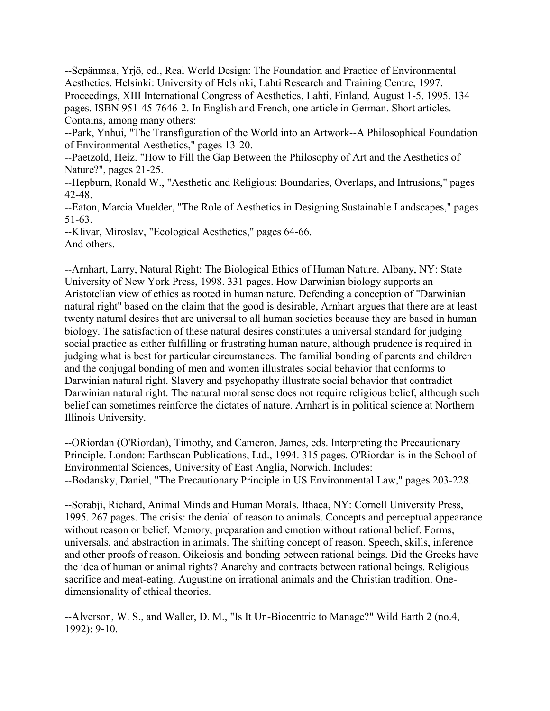--Sepänmaa, Yrjö, ed., Real World Design: The Foundation and Practice of Environmental Aesthetics. Helsinki: University of Helsinki, Lahti Research and Training Centre, 1997. Proceedings, XIII International Congress of Aesthetics, Lahti, Finland, August 1-5, 1995. 134 pages. ISBN 951-45-7646-2. In English and French, one article in German. Short articles. Contains, among many others:

--Park, Ynhui, "The Transfiguration of the World into an Artwork--A Philosophical Foundation of Environmental Aesthetics," pages 13-20.

--Paetzold, Heiz. "How to Fill the Gap Between the Philosophy of Art and the Aesthetics of Nature?", pages 21-25.

--Hepburn, Ronald W., "Aesthetic and Religious: Boundaries, Overlaps, and Intrusions," pages 42-48.

--Eaton, Marcia Muelder, "The Role of Aesthetics in Designing Sustainable Landscapes," pages 51-63.

--Klivar, Miroslav, "Ecological Aesthetics," pages 64-66. And others.

--Arnhart, Larry, Natural Right: The Biological Ethics of Human Nature. Albany, NY: State University of New York Press, 1998. 331 pages. How Darwinian biology supports an Aristotelian view of ethics as rooted in human nature. Defending a conception of "Darwinian natural right" based on the claim that the good is desirable, Arnhart argues that there are at least twenty natural desires that are universal to all human societies because they are based in human biology. The satisfaction of these natural desires constitutes a universal standard for judging social practice as either fulfilling or frustrating human nature, although prudence is required in judging what is best for particular circumstances. The familial bonding of parents and children and the conjugal bonding of men and women illustrates social behavior that conforms to Darwinian natural right. Slavery and psychopathy illustrate social behavior that contradict Darwinian natural right. The natural moral sense does not require religious belief, although such belief can sometimes reinforce the dictates of nature. Arnhart is in political science at Northern Illinois University.

--ORiordan (O'Riordan), Timothy, and Cameron, James, eds. Interpreting the Precautionary Principle. London: Earthscan Publications, Ltd., 1994. 315 pages. O'Riordan is in the School of Environmental Sciences, University of East Anglia, Norwich. Includes: --Bodansky, Daniel, "The Precautionary Principle in US Environmental Law," pages 203-228.

--Sorabji, Richard, Animal Minds and Human Morals. Ithaca, NY: Cornell University Press, 1995. 267 pages. The crisis: the denial of reason to animals. Concepts and perceptual appearance without reason or belief. Memory, preparation and emotion without rational belief. Forms, universals, and abstraction in animals. The shifting concept of reason. Speech, skills, inference and other proofs of reason. Oikeiosis and bonding between rational beings. Did the Greeks have the idea of human or animal rights? Anarchy and contracts between rational beings. Religious sacrifice and meat-eating. Augustine on irrational animals and the Christian tradition. Onedimensionality of ethical theories.

--Alverson, W. S., and Waller, D. M., "Is It Un-Biocentric to Manage?" Wild Earth 2 (no.4, 1992): 9-10.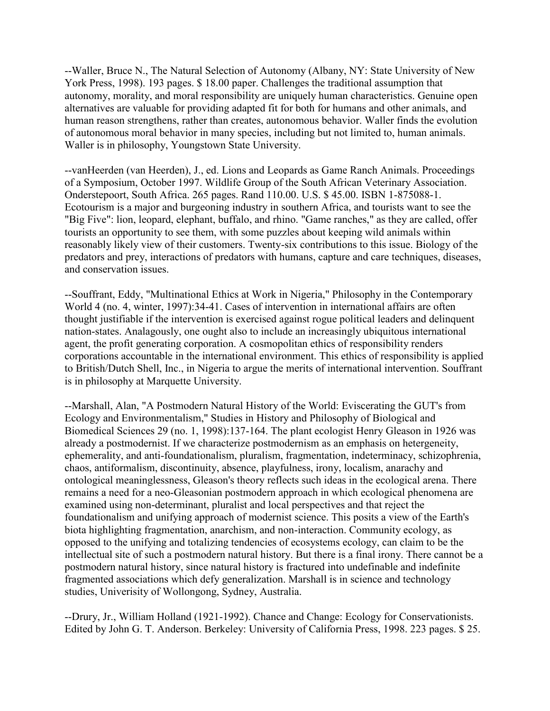--Waller, Bruce N., The Natural Selection of Autonomy (Albany, NY: State University of New York Press, 1998). 193 pages. \$ 18.00 paper. Challenges the traditional assumption that autonomy, morality, and moral responsibility are uniquely human characteristics. Genuine open alternatives are valuable for providing adapted fit for both for humans and other animals, and human reason strengthens, rather than creates, autonomous behavior. Waller finds the evolution of autonomous moral behavior in many species, including but not limited to, human animals. Waller is in philosophy, Youngstown State University.

--vanHeerden (van Heerden), J., ed. Lions and Leopards as Game Ranch Animals. Proceedings of a Symposium, October 1997. Wildlife Group of the South African Veterinary Association. Onderstepoort, South Africa. 265 pages. Rand 110.00. U.S. \$ 45.00. ISBN 1-875088-1. Ecotourism is a major and burgeoning industry in southern Africa, and tourists want to see the "Big Five": lion, leopard, elephant, buffalo, and rhino. "Game ranches," as they are called, offer tourists an opportunity to see them, with some puzzles about keeping wild animals within reasonably likely view of their customers. Twenty-six contributions to this issue. Biology of the predators and prey, interactions of predators with humans, capture and care techniques, diseases, and conservation issues.

--Souffrant, Eddy, "Multinational Ethics at Work in Nigeria," Philosophy in the Contemporary World 4 (no. 4, winter, 1997):34-41. Cases of intervention in international affairs are often thought justifiable if the intervention is exercised against rogue political leaders and delinquent nation-states. Analagously, one ought also to include an increasingly ubiquitous international agent, the profit generating corporation. A cosmopolitan ethics of responsibility renders corporations accountable in the international environment. This ethics of responsibility is applied to British/Dutch Shell, Inc., in Nigeria to argue the merits of international intervention. Souffrant is in philosophy at Marquette University.

--Marshall, Alan, "A Postmodern Natural History of the World: Eviscerating the GUT's from Ecology and Environmentalism," Studies in History and Philosophy of Biological and Biomedical Sciences 29 (no. 1, 1998):137-164. The plant ecologist Henry Gleason in 1926 was already a postmodernist. If we characterize postmodernism as an emphasis on hetergeneity, ephemerality, and anti-foundationalism, pluralism, fragmentation, indeterminacy, schizophrenia, chaos, antiformalism, discontinuity, absence, playfulness, irony, localism, anarachy and ontological meaninglessness, Gleason's theory reflects such ideas in the ecological arena. There remains a need for a neo-Gleasonian postmodern approach in which ecological phenomena are examined using non-determinant, pluralist and local perspectives and that reject the foundationalism and unifying approach of modernist science. This posits a view of the Earth's biota highlighting fragmentation, anarchism, and non-interaction. Community ecology, as opposed to the unifying and totalizing tendencies of ecosystems ecology, can claim to be the intellectual site of such a postmodern natural history. But there is a final irony. There cannot be a postmodern natural history, since natural history is fractured into undefinable and indefinite fragmented associations which defy generalization. Marshall is in science and technology studies, Univerisity of Wollongong, Sydney, Australia.

--Drury, Jr., William Holland (1921-1992). Chance and Change: Ecology for Conservationists. Edited by John G. T. Anderson. Berkeley: University of California Press, 1998. 223 pages. \$ 25.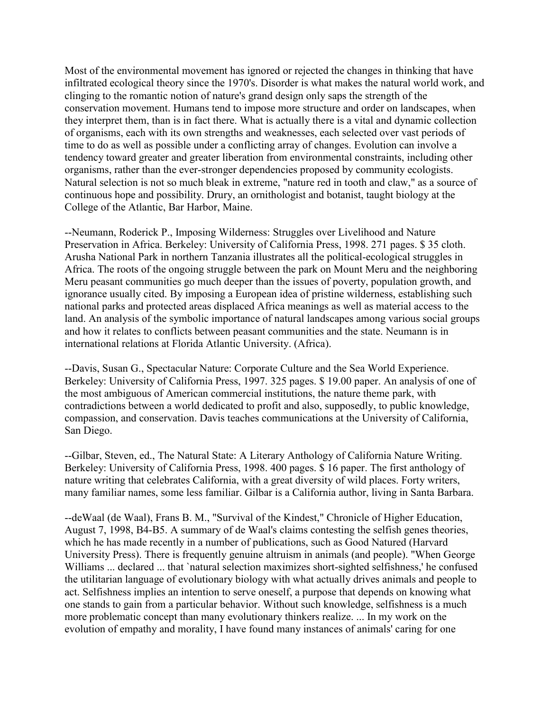Most of the environmental movement has ignored or rejected the changes in thinking that have infiltrated ecological theory since the 1970's. Disorder is what makes the natural world work, and clinging to the romantic notion of nature's grand design only saps the strength of the conservation movement. Humans tend to impose more structure and order on landscapes, when they interpret them, than is in fact there. What is actually there is a vital and dynamic collection of organisms, each with its own strengths and weaknesses, each selected over vast periods of time to do as well as possible under a conflicting array of changes. Evolution can involve a tendency toward greater and greater liberation from environmental constraints, including other organisms, rather than the ever-stronger dependencies proposed by community ecologists. Natural selection is not so much bleak in extreme, "nature red in tooth and claw," as a source of continuous hope and possibility. Drury, an ornithologist and botanist, taught biology at the College of the Atlantic, Bar Harbor, Maine.

--Neumann, Roderick P., Imposing Wilderness: Struggles over Livelihood and Nature Preservation in Africa. Berkeley: University of California Press, 1998. 271 pages. \$ 35 cloth. Arusha National Park in northern Tanzania illustrates all the political-ecological struggles in Africa. The roots of the ongoing struggle between the park on Mount Meru and the neighboring Meru peasant communities go much deeper than the issues of poverty, population growth, and ignorance usually cited. By imposing a European idea of pristine wilderness, establishing such national parks and protected areas displaced Africa meanings as well as material access to the land. An analysis of the symbolic importance of natural landscapes among various social groups and how it relates to conflicts between peasant communities and the state. Neumann is in international relations at Florida Atlantic University. (Africa).

--Davis, Susan G., Spectacular Nature: Corporate Culture and the Sea World Experience. Berkeley: University of California Press, 1997. 325 pages. \$ 19.00 paper. An analysis of one of the most ambiguous of American commercial institutions, the nature theme park, with contradictions between a world dedicated to profit and also, supposedly, to public knowledge, compassion, and conservation. Davis teaches communications at the University of California, San Diego.

--Gilbar, Steven, ed., The Natural State: A Literary Anthology of California Nature Writing. Berkeley: University of California Press, 1998. 400 pages. \$ 16 paper. The first anthology of nature writing that celebrates California, with a great diversity of wild places. Forty writers, many familiar names, some less familiar. Gilbar is a California author, living in Santa Barbara.

--deWaal (de Waal), Frans B. M., "Survival of the Kindest," Chronicle of Higher Education, August 7, 1998, B4-B5. A summary of de Waal's claims contesting the selfish genes theories, which he has made recently in a number of publications, such as Good Natured (Harvard University Press). There is frequently genuine altruism in animals (and people). "When George Williams ... declared ... that `natural selection maximizes short-sighted selfishness,' he confused the utilitarian language of evolutionary biology with what actually drives animals and people to act. Selfishness implies an intention to serve oneself, a purpose that depends on knowing what one stands to gain from a particular behavior. Without such knowledge, selfishness is a much more problematic concept than many evolutionary thinkers realize. ... In my work on the evolution of empathy and morality, I have found many instances of animals' caring for one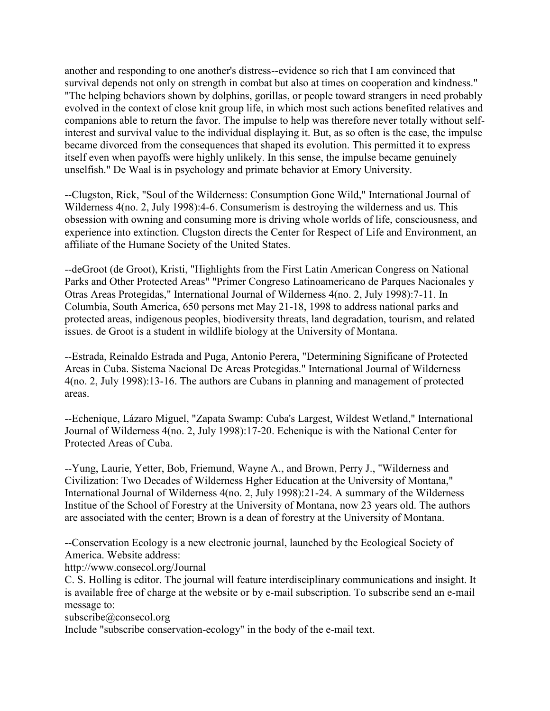another and responding to one another's distress--evidence so rich that I am convinced that survival depends not only on strength in combat but also at times on cooperation and kindness." "The helping behaviors shown by dolphins, gorillas, or people toward strangers in need probably evolved in the context of close knit group life, in which most such actions benefited relatives and companions able to return the favor. The impulse to help was therefore never totally without selfinterest and survival value to the individual displaying it. But, as so often is the case, the impulse became divorced from the consequences that shaped its evolution. This permitted it to express itself even when payoffs were highly unlikely. In this sense, the impulse became genuinely unselfish." De Waal is in psychology and primate behavior at Emory University.

--Clugston, Rick, "Soul of the Wilderness: Consumption Gone Wild," International Journal of Wilderness 4(no. 2, July 1998):4-6. Consumerism is destroying the wilderness and us. This obsession with owning and consuming more is driving whole worlds of life, consciousness, and experience into extinction. Clugston directs the Center for Respect of Life and Environment, an affiliate of the Humane Society of the United States.

--deGroot (de Groot), Kristi, "Highlights from the First Latin American Congress on National Parks and Other Protected Areas" "Primer Congreso Latinoamericano de Parques Nacionales y Otras Areas Protegidas," International Journal of Wilderness 4(no. 2, July 1998):7-11. In Columbia, South America, 650 persons met May 21-18, 1998 to address national parks and protected areas, indigenous peoples, biodiversity threats, land degradation, tourism, and related issues. de Groot is a student in wildlife biology at the University of Montana.

--Estrada, Reinaldo Estrada and Puga, Antonio Perera, "Determining Significane of Protected Areas in Cuba. Sistema Nacional De Areas Protegidas." International Journal of Wilderness 4(no. 2, July 1998):13-16. The authors are Cubans in planning and management of protected areas.

--Echenique, Lázaro Miguel, "Zapata Swamp: Cuba's Largest, Wildest Wetland," International Journal of Wilderness 4(no. 2, July 1998):17-20. Echenique is with the National Center for Protected Areas of Cuba.

--Yung, Laurie, Yetter, Bob, Friemund, Wayne A., and Brown, Perry J., "Wilderness and Civilization: Two Decades of Wilderness Hgher Education at the University of Montana," International Journal of Wilderness 4(no. 2, July 1998):21-24. A summary of the Wilderness Institue of the School of Forestry at the University of Montana, now 23 years old. The authors are associated with the center; Brown is a dean of forestry at the University of Montana.

--Conservation Ecology is a new electronic journal, launched by the Ecological Society of America. Website address:

http://www.consecol.org/Journal

C. S. Holling is editor. The journal will feature interdisciplinary communications and insight. It is available free of charge at the website or by e-mail subscription. To subscribe send an e-mail message to:

subscribe@consecol.org

Include "subscribe conservation-ecology" in the body of the e-mail text.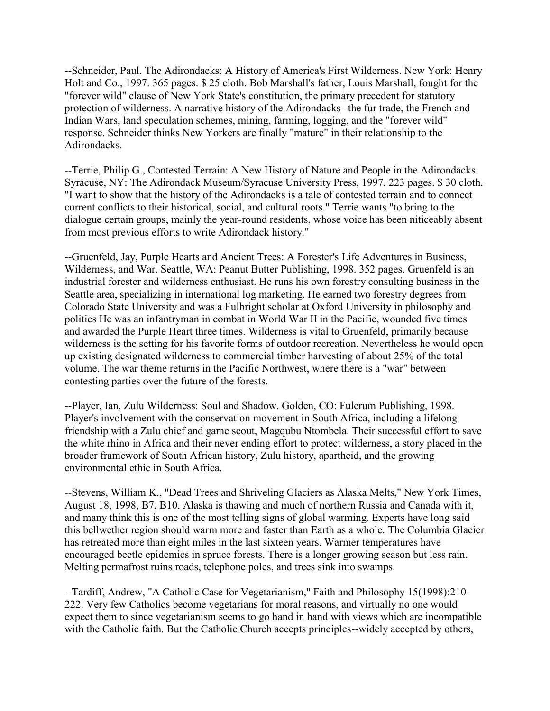--Schneider, Paul. The Adirondacks: A History of America's First Wilderness. New York: Henry Holt and Co., 1997. 365 pages. \$ 25 cloth. Bob Marshall's father, Louis Marshall, fought for the "forever wild" clause of New York State's constitution, the primary precedent for statutory protection of wilderness. A narrative history of the Adirondacks--the fur trade, the French and Indian Wars, land speculation schemes, mining, farming, logging, and the "forever wild" response. Schneider thinks New Yorkers are finally "mature" in their relationship to the Adirondacks.

--Terrie, Philip G., Contested Terrain: A New History of Nature and People in the Adirondacks. Syracuse, NY: The Adirondack Museum/Syracuse University Press, 1997. 223 pages. \$ 30 cloth. "I want to show that the history of the Adirondacks is a tale of contested terrain and to connect current conflicts to their historical, social, and cultural roots." Terrie wants "to bring to the dialogue certain groups, mainly the year-round residents, whose voice has been niticeably absent from most previous efforts to write Adirondack history."

--Gruenfeld, Jay, Purple Hearts and Ancient Trees: A Forester's Life Adventures in Business, Wilderness, and War. Seattle, WA: Peanut Butter Publishing, 1998. 352 pages. Gruenfeld is an industrial forester and wilderness enthusiast. He runs his own forestry consulting business in the Seattle area, specializing in international log marketing. He earned two forestry degrees from Colorado State University and was a Fulbright scholar at Oxford University in philosophy and politics He was an infantryman in combat in World War II in the Pacific, wounded five times and awarded the Purple Heart three times. Wilderness is vital to Gruenfeld, primarily because wilderness is the setting for his favorite forms of outdoor recreation. Nevertheless he would open up existing designated wilderness to commercial timber harvesting of about 25% of the total volume. The war theme returns in the Pacific Northwest, where there is a "war" between contesting parties over the future of the forests.

--Player, Ian, Zulu Wilderness: Soul and Shadow. Golden, CO: Fulcrum Publishing, 1998. Player's involvement with the conservation movement in South Africa, including a lifelong friendship with a Zulu chief and game scout, Magqubu Ntombela. Their successful effort to save the white rhino in Africa and their never ending effort to protect wilderness, a story placed in the broader framework of South African history, Zulu history, apartheid, and the growing environmental ethic in South Africa.

--Stevens, William K., "Dead Trees and Shriveling Glaciers as Alaska Melts," New York Times, August 18, 1998, B7, B10. Alaska is thawing and much of northern Russia and Canada with it, and many think this is one of the most telling signs of global warming. Experts have long said this bellwether region should warm more and faster than Earth as a whole. The Columbia Glacier has retreated more than eight miles in the last sixteen years. Warmer temperatures have encouraged beetle epidemics in spruce forests. There is a longer growing season but less rain. Melting permafrost ruins roads, telephone poles, and trees sink into swamps.

--Tardiff, Andrew, "A Catholic Case for Vegetarianism," Faith and Philosophy 15(1998):210- 222. Very few Catholics become vegetarians for moral reasons, and virtually no one would expect them to since vegetarianism seems to go hand in hand with views which are incompatible with the Catholic faith. But the Catholic Church accepts principles--widely accepted by others,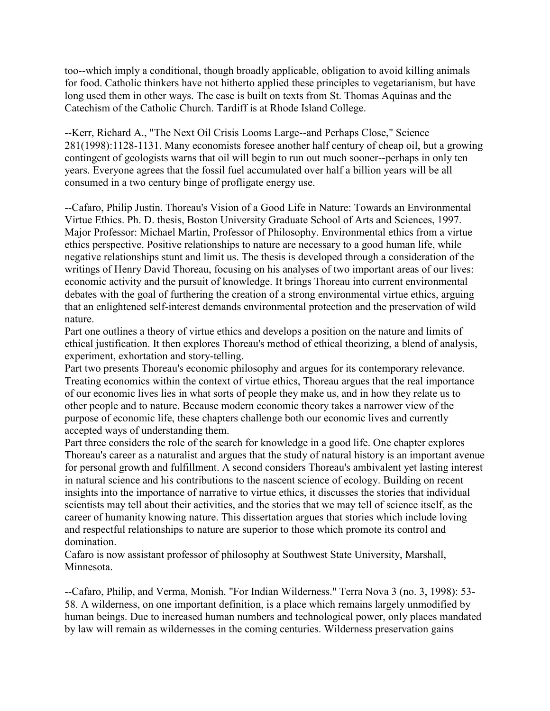too--which imply a conditional, though broadly applicable, obligation to avoid killing animals for food. Catholic thinkers have not hitherto applied these principles to vegetarianism, but have long used them in other ways. The case is built on texts from St. Thomas Aquinas and the Catechism of the Catholic Church. Tardiff is at Rhode Island College.

--Kerr, Richard A., "The Next Oil Crisis Looms Large--and Perhaps Close," Science 281(1998):1128-1131. Many economists foresee another half century of cheap oil, but a growing contingent of geologists warns that oil will begin to run out much sooner--perhaps in only ten years. Everyone agrees that the fossil fuel accumulated over half a billion years will be all consumed in a two century binge of profligate energy use.

--Cafaro, Philip Justin. Thoreau's Vision of a Good Life in Nature: Towards an Environmental Virtue Ethics. Ph. D. thesis, Boston University Graduate School of Arts and Sciences, 1997. Major Professor: Michael Martin, Professor of Philosophy. Environmental ethics from a virtue ethics perspective. Positive relationships to nature are necessary to a good human life, while negative relationships stunt and limit us. The thesis is developed through a consideration of the writings of Henry David Thoreau, focusing on his analyses of two important areas of our lives: economic activity and the pursuit of knowledge. It brings Thoreau into current environmental debates with the goal of furthering the creation of a strong environmental virtue ethics, arguing that an enlightened self-interest demands environmental protection and the preservation of wild nature.

Part one outlines a theory of virtue ethics and develops a position on the nature and limits of ethical justification. It then explores Thoreau's method of ethical theorizing, a blend of analysis, experiment, exhortation and story-telling.

Part two presents Thoreau's economic philosophy and argues for its contemporary relevance. Treating economics within the context of virtue ethics, Thoreau argues that the real importance of our economic lives lies in what sorts of people they make us, and in how they relate us to other people and to nature. Because modern economic theory takes a narrower view of the purpose of economic life, these chapters challenge both our economic lives and currently accepted ways of understanding them.

Part three considers the role of the search for knowledge in a good life. One chapter explores Thoreau's career as a naturalist and argues that the study of natural history is an important avenue for personal growth and fulfillment. A second considers Thoreau's ambivalent yet lasting interest in natural science and his contributions to the nascent science of ecology. Building on recent insights into the importance of narrative to virtue ethics, it discusses the stories that individual scientists may tell about their activities, and the stories that we may tell of science itself, as the career of humanity knowing nature. This dissertation argues that stories which include loving and respectful relationships to nature are superior to those which promote its control and domination.

Cafaro is now assistant professor of philosophy at Southwest State University, Marshall, Minnesota.

--Cafaro, Philip, and Verma, Monish. "For Indian Wilderness." Terra Nova 3 (no. 3, 1998): 53- 58. A wilderness, on one important definition, is a place which remains largely unmodified by human beings. Due to increased human numbers and technological power, only places mandated by law will remain as wildernesses in the coming centuries. Wilderness preservation gains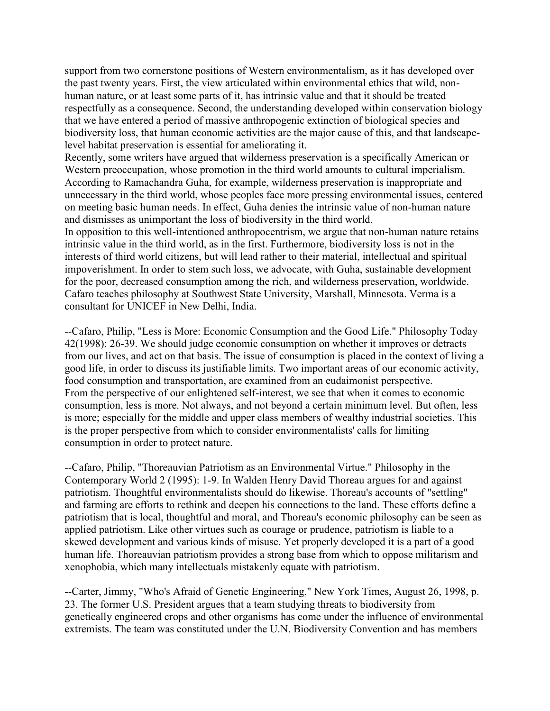support from two cornerstone positions of Western environmentalism, as it has developed over the past twenty years. First, the view articulated within environmental ethics that wild, nonhuman nature, or at least some parts of it, has intrinsic value and that it should be treated respectfully as a consequence. Second, the understanding developed within conservation biology that we have entered a period of massive anthropogenic extinction of biological species and biodiversity loss, that human economic activities are the major cause of this, and that landscapelevel habitat preservation is essential for ameliorating it.

Recently, some writers have argued that wilderness preservation is a specifically American or Western preoccupation, whose promotion in the third world amounts to cultural imperialism. According to Ramachandra Guha, for example, wilderness preservation is inappropriate and unnecessary in the third world, whose peoples face more pressing environmental issues, centered on meeting basic human needs. In effect, Guha denies the intrinsic value of non-human nature and dismisses as unimportant the loss of biodiversity in the third world.

In opposition to this well-intentioned anthropocentrism, we argue that non-human nature retains intrinsic value in the third world, as in the first. Furthermore, biodiversity loss is not in the interests of third world citizens, but will lead rather to their material, intellectual and spiritual impoverishment. In order to stem such loss, we advocate, with Guha, sustainable development for the poor, decreased consumption among the rich, and wilderness preservation, worldwide. Cafaro teaches philosophy at Southwest State University, Marshall, Minnesota. Verma is a consultant for UNICEF in New Delhi, India.

--Cafaro, Philip, "Less is More: Economic Consumption and the Good Life." Philosophy Today 42(1998): 26-39. We should judge economic consumption on whether it improves or detracts from our lives, and act on that basis. The issue of consumption is placed in the context of living a good life, in order to discuss its justifiable limits. Two important areas of our economic activity, food consumption and transportation, are examined from an eudaimonist perspective. From the perspective of our enlightened self-interest, we see that when it comes to economic consumption, less is more. Not always, and not beyond a certain minimum level. But often, less is more; especially for the middle and upper class members of wealthy industrial societies. This is the proper perspective from which to consider environmentalists' calls for limiting consumption in order to protect nature.

--Cafaro, Philip, "Thoreauvian Patriotism as an Environmental Virtue." Philosophy in the Contemporary World 2 (1995): 1-9. In Walden Henry David Thoreau argues for and against patriotism. Thoughtful environmentalists should do likewise. Thoreau's accounts of "settling" and farming are efforts to rethink and deepen his connections to the land. These efforts define a patriotism that is local, thoughtful and moral, and Thoreau's economic philosophy can be seen as applied patriotism. Like other virtues such as courage or prudence, patriotism is liable to a skewed development and various kinds of misuse. Yet properly developed it is a part of a good human life. Thoreauvian patriotism provides a strong base from which to oppose militarism and xenophobia, which many intellectuals mistakenly equate with patriotism.

--Carter, Jimmy, "Who's Afraid of Genetic Engineering," New York Times, August 26, 1998, p. 23. The former U.S. President argues that a team studying threats to biodiversity from genetically engineered crops and other organisms has come under the influence of environmental extremists. The team was constituted under the U.N. Biodiversity Convention and has members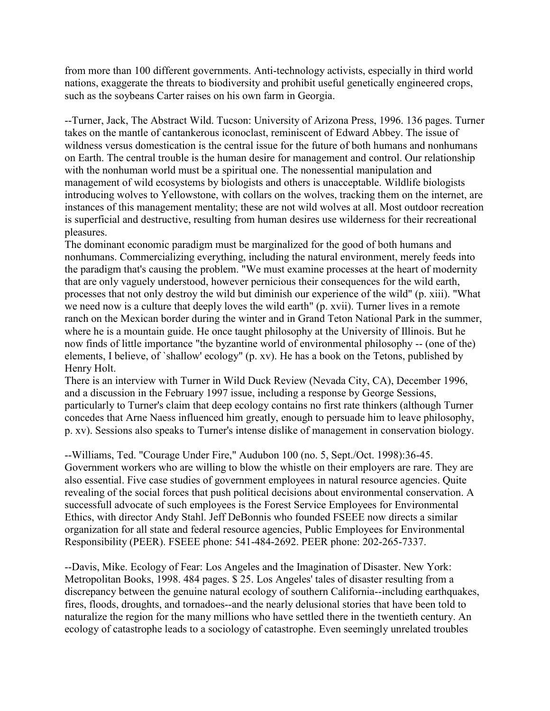from more than 100 different governments. Anti-technology activists, especially in third world nations, exaggerate the threats to biodiversity and prohibit useful genetically engineered crops, such as the soybeans Carter raises on his own farm in Georgia.

--Turner, Jack, The Abstract Wild. Tucson: University of Arizona Press, 1996. 136 pages. Turner takes on the mantle of cantankerous iconoclast, reminiscent of Edward Abbey. The issue of wildness versus domestication is the central issue for the future of both humans and nonhumans on Earth. The central trouble is the human desire for management and control. Our relationship with the nonhuman world must be a spiritual one. The nonessential manipulation and management of wild ecosystems by biologists and others is unacceptable. Wildlife biologists introducing wolves to Yellowstone, with collars on the wolves, tracking them on the internet, are instances of this management mentality; these are not wild wolves at all. Most outdoor recreation is superficial and destructive, resulting from human desires use wilderness for their recreational pleasures.

The dominant economic paradigm must be marginalized for the good of both humans and nonhumans. Commercializing everything, including the natural environment, merely feeds into the paradigm that's causing the problem. "We must examine processes at the heart of modernity that are only vaguely understood, however pernicious their consequences for the wild earth, processes that not only destroy the wild but diminish our experience of the wild" (p. xiii). "What we need now is a culture that deeply loves the wild earth" (p. xvii). Turner lives in a remote ranch on the Mexican border during the winter and in Grand Teton National Park in the summer, where he is a mountain guide. He once taught philosophy at the University of Illinois. But he now finds of little importance "the byzantine world of environmental philosophy -- (one of the) elements, I believe, of `shallow' ecology" (p. xv). He has a book on the Tetons, published by Henry Holt.

There is an interview with Turner in Wild Duck Review (Nevada City, CA), December 1996, and a discussion in the February 1997 issue, including a response by George Sessions, particularly to Turner's claim that deep ecology contains no first rate thinkers (although Turner concedes that Arne Naess influenced him greatly, enough to persuade him to leave philosophy, p. xv). Sessions also speaks to Turner's intense dislike of management in conservation biology.

--Williams, Ted. "Courage Under Fire," Audubon 100 (no. 5, Sept./Oct. 1998):36-45. Government workers who are willing to blow the whistle on their employers are rare. They are also essential. Five case studies of government employees in natural resource agencies. Quite revealing of the social forces that push political decisions about environmental conservation. A successfull advocate of such employees is the Forest Service Employees for Environmental Ethics, with director Andy Stahl. Jeff DeBonnis who founded FSEEE now directs a similar organization for all state and federal resource agencies, Public Employees for Environmental Responsibility (PEER). FSEEE phone: 541-484-2692. PEER phone: 202-265-7337.

--Davis, Mike. Ecology of Fear: Los Angeles and the Imagination of Disaster. New York: Metropolitan Books, 1998. 484 pages. \$ 25. Los Angeles' tales of disaster resulting from a discrepancy between the genuine natural ecology of southern California--including earthquakes, fires, floods, droughts, and tornadoes--and the nearly delusional stories that have been told to naturalize the region for the many millions who have settled there in the twentieth century. An ecology of catastrophe leads to a sociology of catastrophe. Even seemingly unrelated troubles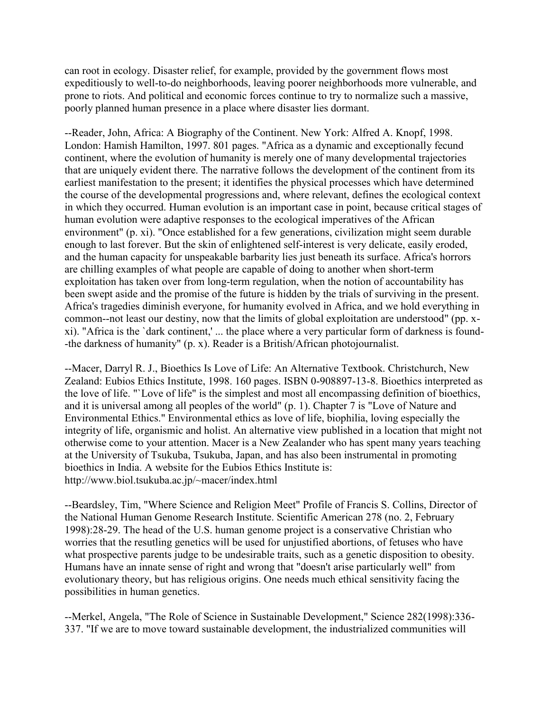can root in ecology. Disaster relief, for example, provided by the government flows most expeditiously to well-to-do neighborhoods, leaving poorer neighborhoods more vulnerable, and prone to riots. And political and economic forces continue to try to normalize such a massive, poorly planned human presence in a place where disaster lies dormant.

--Reader, John, Africa: A Biography of the Continent. New York: Alfred A. Knopf, 1998. London: Hamish Hamilton, 1997. 801 pages. "Africa as a dynamic and exceptionally fecund continent, where the evolution of humanity is merely one of many developmental trajectories that are uniquely evident there. The narrative follows the development of the continent from its earliest manifestation to the present; it identifies the physical processes which have determined the course of the developmental progressions and, where relevant, defines the ecological context in which they occurred. Human evolution is an important case in point, because critical stages of human evolution were adaptive responses to the ecological imperatives of the African environment" (p. xi). "Once established for a few generations, civilization might seem durable enough to last forever. But the skin of enlightened self-interest is very delicate, easily eroded, and the human capacity for unspeakable barbarity lies just beneath its surface. Africa's horrors are chilling examples of what people are capable of doing to another when short-term exploitation has taken over from long-term regulation, when the notion of accountability has been swept aside and the promise of the future is hidden by the trials of surviving in the present. Africa's tragedies diminish everyone, for humanity evolved in Africa, and we hold everything in common--not least our destiny, now that the limits of global exploitation are understood" (pp. xxi). "Africa is the `dark continent,' ... the place where a very particular form of darkness is found- -the darkness of humanity" (p. x). Reader is a British/African photojournalist.

--Macer, Darryl R. J., Bioethics Is Love of Life: An Alternative Textbook. Christchurch, New Zealand: Eubios Ethics Institute, 1998. 160 pages. ISBN 0-908897-13-8. Bioethics interpreted as the love of life. "`Love of life" is the simplest and most all encompassing definition of bioethics, and it is universal among all peoples of the world" (p. 1). Chapter 7 is "Love of Nature and Environmental Ethics." Environmental ethics as love of life, biophilia, loving especially the integrity of life, organismic and holist. An alternative view published in a location that might not otherwise come to your attention. Macer is a New Zealander who has spent many years teaching at the University of Tsukuba, Tsukuba, Japan, and has also been instrumental in promoting bioethics in India. A website for the Eubios Ethics Institute is: http://www.biol.tsukuba.ac.jp/~macer/index.html

--Beardsley, Tim, "Where Science and Religion Meet" Profile of Francis S. Collins, Director of the National Human Genome Research Institute. Scientific American 278 (no. 2, February 1998):28-29. The head of the U.S. human genome project is a conservative Christian who worries that the resutling genetics will be used for unjustified abortions, of fetuses who have what prospective parents judge to be undesirable traits, such as a genetic disposition to obesity. Humans have an innate sense of right and wrong that "doesn't arise particularly well" from evolutionary theory, but has religious origins. One needs much ethical sensitivity facing the possibilities in human genetics.

--Merkel, Angela, "The Role of Science in Sustainable Development," Science 282(1998):336- 337. "If we are to move toward sustainable development, the industrialized communities will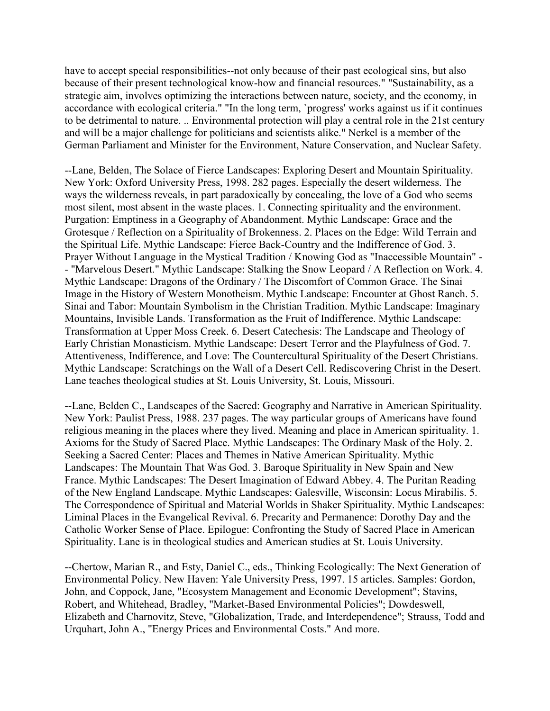have to accept special responsibilities--not only because of their past ecological sins, but also because of their present technological know-how and financial resources." "Sustainability, as a strategic aim, involves optimizing the interactions between nature, society, and the economy, in accordance with ecological criteria." "In the long term, `progress' works against us if it continues to be detrimental to nature. .. Environmental protection will play a central role in the 21st century and will be a major challenge for politicians and scientists alike." Nerkel is a member of the German Parliament and Minister for the Environment, Nature Conservation, and Nuclear Safety.

--Lane, Belden, The Solace of Fierce Landscapes: Exploring Desert and Mountain Spirituality. New York: Oxford University Press, 1998. 282 pages. Especially the desert wilderness. The ways the wilderness reveals, in part paradoxically by concealing, the love of a God who seems most silent, most absent in the waste places. 1. Connecting spirituality and the environment. Purgation: Emptiness in a Geography of Abandonment. Mythic Landscape: Grace and the Grotesque / Reflection on a Spirituality of Brokenness. 2. Places on the Edge: Wild Terrain and the Spiritual Life. Mythic Landscape: Fierce Back-Country and the Indifference of God. 3. Prayer Without Language in the Mystical Tradition / Knowing God as "Inaccessible Mountain" - - "Marvelous Desert." Mythic Landscape: Stalking the Snow Leopard / A Reflection on Work. 4. Mythic Landscape: Dragons of the Ordinary / The Discomfort of Common Grace. The Sinai Image in the History of Western Monotheism. Mythic Landscape: Encounter at Ghost Ranch. 5. Sinai and Tabor: Mountain Symbolism in the Christian Tradition. Mythic Landscape: Imaginary Mountains, Invisible Lands. Transformation as the Fruit of Indifference. Mythic Landscape: Transformation at Upper Moss Creek. 6. Desert Catechesis: The Landscape and Theology of Early Christian Monasticism. Mythic Landscape: Desert Terror and the Playfulness of God. 7. Attentiveness, Indifference, and Love: The Countercultural Spirituality of the Desert Christians. Mythic Landscape: Scratchings on the Wall of a Desert Cell. Rediscovering Christ in the Desert. Lane teaches theological studies at St. Louis University, St. Louis, Missouri.

--Lane, Belden C., Landscapes of the Sacred: Geography and Narrative in American Spirituality. New York: Paulist Press, 1988. 237 pages. The way particular groups of Americans have found religious meaning in the places where they lived. Meaning and place in American spirituality. 1. Axioms for the Study of Sacred Place. Mythic Landscapes: The Ordinary Mask of the Holy. 2. Seeking a Sacred Center: Places and Themes in Native American Spirituality. Mythic Landscapes: The Mountain That Was God. 3. Baroque Spirituality in New Spain and New France. Mythic Landscapes: The Desert Imagination of Edward Abbey. 4. The Puritan Reading of the New England Landscape. Mythic Landscapes: Galesville, Wisconsin: Locus Mirabilis. 5. The Correspondence of Spiritual and Material Worlds in Shaker Spirituality. Mythic Landscapes: Liminal Places in the Evangelical Revival. 6. Precarity and Permanence: Dorothy Day and the Catholic Worker Sense of Place. Epilogue: Confronting the Study of Sacred Place in American Spirituality. Lane is in theological studies and American studies at St. Louis University.

--Chertow, Marian R., and Esty, Daniel C., eds., Thinking Ecologically: The Next Generation of Environmental Policy. New Haven: Yale University Press, 1997. 15 articles. Samples: Gordon, John, and Coppock, Jane, "Ecosystem Management and Economic Development"; Stavins, Robert, and Whitehead, Bradley, "Market-Based Environmental Policies"; Dowdeswell, Elizabeth and Charnovitz, Steve, "Globalization, Trade, and Interdependence"; Strauss, Todd and Urquhart, John A., "Energy Prices and Environmental Costs." And more.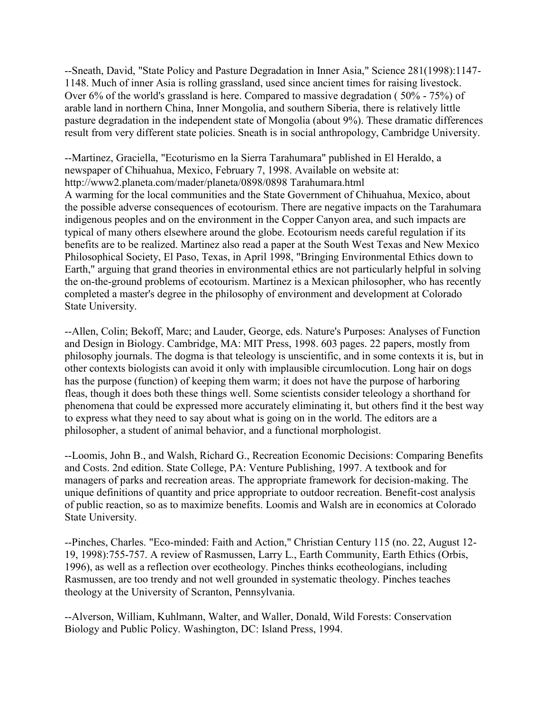--Sneath, David, "State Policy and Pasture Degradation in Inner Asia," Science 281(1998):1147- 1148. Much of inner Asia is rolling grassland, used since ancient times for raising livestock. Over 6% of the world's grassland is here. Compared to massive degradation ( 50% - 75%) of arable land in northern China, Inner Mongolia, and southern Siberia, there is relatively little pasture degradation in the independent state of Mongolia (about 9%). These dramatic differences result from very different state policies. Sneath is in social anthropology, Cambridge University.

--Martinez, Graciella, "Ecoturismo en la Sierra Tarahumara" published in El Heraldo, a newspaper of Chihuahua, Mexico, February 7, 1998. Available on website at: http://www2.planeta.com/mader/planeta/0898/0898 Tarahumara.html A warming for the local communities and the State Government of Chihuahua, Mexico, about the possible adverse consequences of ecotourism. There are negative impacts on the Tarahumara indigenous peoples and on the environment in the Copper Canyon area, and such impacts are typical of many others elsewhere around the globe. Ecotourism needs careful regulation if its benefits are to be realized. Martinez also read a paper at the South West Texas and New Mexico Philosophical Society, El Paso, Texas, in April 1998, "Bringing Environmental Ethics down to Earth," arguing that grand theories in environmental ethics are not particularly helpful in solving the on-the-ground problems of ecotourism. Martinez is a Mexican philosopher, who has recently completed a master's degree in the philosophy of environment and development at Colorado State University.

--Allen, Colin; Bekoff, Marc; and Lauder, George, eds. Nature's Purposes: Analyses of Function and Design in Biology. Cambridge, MA: MIT Press, 1998. 603 pages. 22 papers, mostly from philosophy journals. The dogma is that teleology is unscientific, and in some contexts it is, but in other contexts biologists can avoid it only with implausible circumlocution. Long hair on dogs has the purpose (function) of keeping them warm; it does not have the purpose of harboring fleas, though it does both these things well. Some scientists consider teleology a shorthand for phenomena that could be expressed more accurately eliminating it, but others find it the best way to express what they need to say about what is going on in the world. The editors are a philosopher, a student of animal behavior, and a functional morphologist.

--Loomis, John B., and Walsh, Richard G., Recreation Economic Decisions: Comparing Benefits and Costs. 2nd edition. State College, PA: Venture Publishing, 1997. A textbook and for managers of parks and recreation areas. The appropriate framework for decision-making. The unique definitions of quantity and price appropriate to outdoor recreation. Benefit-cost analysis of public reaction, so as to maximize benefits. Loomis and Walsh are in economics at Colorado State University.

--Pinches, Charles. "Eco-minded: Faith and Action," Christian Century 115 (no. 22, August 12- 19, 1998):755-757. A review of Rasmussen, Larry L., Earth Community, Earth Ethics (Orbis, 1996), as well as a reflection over ecotheology. Pinches thinks ecotheologians, including Rasmussen, are too trendy and not well grounded in systematic theology. Pinches teaches theology at the University of Scranton, Pennsylvania.

--Alverson, William, Kuhlmann, Walter, and Waller, Donald, Wild Forests: Conservation Biology and Public Policy. Washington, DC: Island Press, 1994.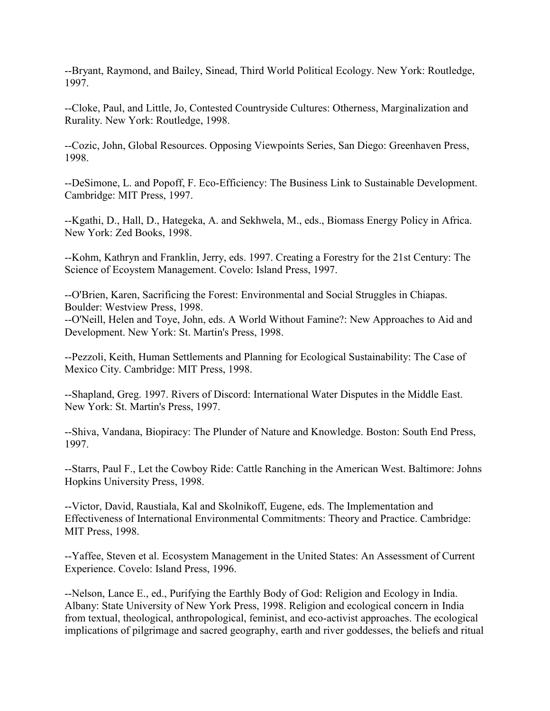--Bryant, Raymond, and Bailey, Sinead, Third World Political Ecology. New York: Routledge, 1997.

--Cloke, Paul, and Little, Jo, Contested Countryside Cultures: Otherness, Marginalization and Rurality. New York: Routledge, 1998.

--Cozic, John, Global Resources. Opposing Viewpoints Series, San Diego: Greenhaven Press, 1998.

--DeSimone, L. and Popoff, F. Eco-Efficiency: The Business Link to Sustainable Development. Cambridge: MIT Press, 1997.

--Kgathi, D., Hall, D., Hategeka, A. and Sekhwela, M., eds., Biomass Energy Policy in Africa. New York: Zed Books, 1998.

--Kohm, Kathryn and Franklin, Jerry, eds. 1997. Creating a Forestry for the 21st Century: The Science of Ecoystem Management. Covelo: Island Press, 1997.

--O'Brien, Karen, Sacrificing the Forest: Environmental and Social Struggles in Chiapas. Boulder: Westview Press, 1998. --O'Neill, Helen and Toye, John, eds. A World Without Famine?: New Approaches to Aid and Development. New York: St. Martin's Press, 1998.

--Pezzoli, Keith, Human Settlements and Planning for Ecological Sustainability: The Case of Mexico City. Cambridge: MIT Press, 1998.

--Shapland, Greg. 1997. Rivers of Discord: International Water Disputes in the Middle East. New York: St. Martin's Press, 1997.

--Shiva, Vandana, Biopiracy: The Plunder of Nature and Knowledge. Boston: South End Press, 1997.

--Starrs, Paul F., Let the Cowboy Ride: Cattle Ranching in the American West. Baltimore: Johns Hopkins University Press, 1998.

--Victor, David, Raustiala, Kal and Skolnikoff, Eugene, eds. The Implementation and Effectiveness of International Environmental Commitments: Theory and Practice. Cambridge: MIT Press, 1998.

--Yaffee, Steven et al. Ecosystem Management in the United States: An Assessment of Current Experience. Covelo: Island Press, 1996.

--Nelson, Lance E., ed., Purifying the Earthly Body of God: Religion and Ecology in India. Albany: State University of New York Press, 1998. Religion and ecological concern in India from textual, theological, anthropological, feminist, and eco-activist approaches. The ecological implications of pilgrimage and sacred geography, earth and river goddesses, the beliefs and ritual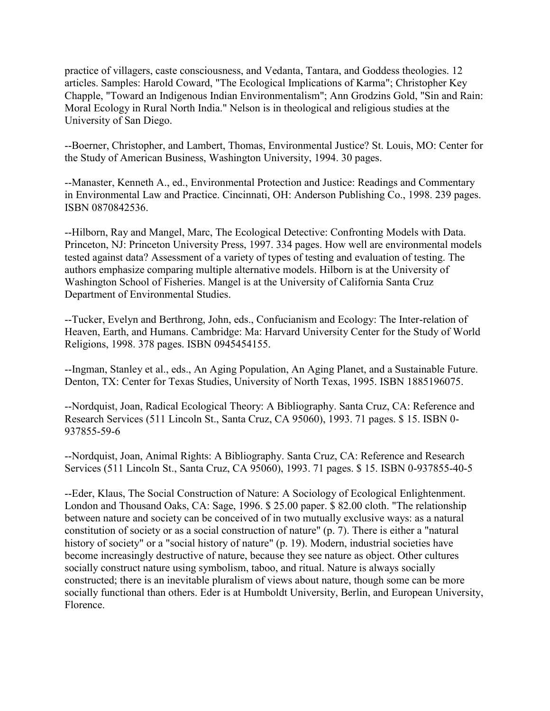practice of villagers, caste consciousness, and Vedanta, Tantara, and Goddess theologies. 12 articles. Samples: Harold Coward, "The Ecological Implications of Karma"; Christopher Key Chapple, "Toward an Indigenous Indian Environmentalism"; Ann Grodzins Gold, "Sin and Rain: Moral Ecology in Rural North India." Nelson is in theological and religious studies at the University of San Diego.

--Boerner, Christopher, and Lambert, Thomas, Environmental Justice? St. Louis, MO: Center for the Study of American Business, Washington University, 1994. 30 pages.

--Manaster, Kenneth A., ed., Environmental Protection and Justice: Readings and Commentary in Environmental Law and Practice. Cincinnati, OH: Anderson Publishing Co., 1998. 239 pages. ISBN 0870842536.

--Hilborn, Ray and Mangel, Marc, The Ecological Detective: Confronting Models with Data. Princeton, NJ: Princeton University Press, 1997. 334 pages. How well are environmental models tested against data? Assessment of a variety of types of testing and evaluation of testing. The authors emphasize comparing multiple alternative models. Hilborn is at the University of Washington School of Fisheries. Mangel is at the University of California Santa Cruz Department of Environmental Studies.

--Tucker, Evelyn and Berthrong, John, eds., Confucianism and Ecology: The Inter-relation of Heaven, Earth, and Humans. Cambridge: Ma: Harvard University Center for the Study of World Religions, 1998. 378 pages. ISBN 0945454155.

--Ingman, Stanley et al., eds., An Aging Population, An Aging Planet, and a Sustainable Future. Denton, TX: Center for Texas Studies, University of North Texas, 1995. ISBN 1885196075.

--Nordquist, Joan, Radical Ecological Theory: A Bibliography. Santa Cruz, CA: Reference and Research Services (511 Lincoln St., Santa Cruz, CA 95060), 1993. 71 pages. \$ 15. ISBN 0- 937855-59-6

--Nordquist, Joan, Animal Rights: A Bibliography. Santa Cruz, CA: Reference and Research Services (511 Lincoln St., Santa Cruz, CA 95060), 1993. 71 pages. \$ 15. ISBN 0-937855-40-5

--Eder, Klaus, The Social Construction of Nature: A Sociology of Ecological Enlightenment. London and Thousand Oaks, CA: Sage, 1996. \$ 25.00 paper. \$ 82.00 cloth. "The relationship between nature and society can be conceived of in two mutually exclusive ways: as a natural constitution of society or as a social construction of nature" (p. 7). There is either a "natural history of society" or a "social history of nature" (p. 19). Modern, industrial societies have become increasingly destructive of nature, because they see nature as object. Other cultures socially construct nature using symbolism, taboo, and ritual. Nature is always socially constructed; there is an inevitable pluralism of views about nature, though some can be more socially functional than others. Eder is at Humboldt University, Berlin, and European University, Florence.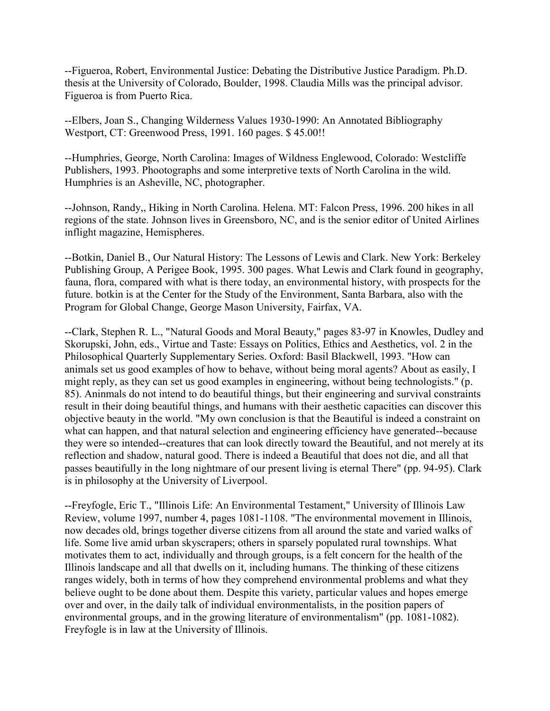--Figueroa, Robert, Environmental Justice: Debating the Distributive Justice Paradigm. Ph.D. thesis at the University of Colorado, Boulder, 1998. Claudia Mills was the principal advisor. Figueroa is from Puerto Rica.

--Elbers, Joan S., Changing Wilderness Values 1930-1990: An Annotated Bibliography Westport, CT: Greenwood Press, 1991. 160 pages. \$ 45.00!!

--Humphries, George, North Carolina: Images of Wildness Englewood, Colorado: Westcliffe Publishers, 1993. Phootographs and some interpretive texts of North Carolina in the wild. Humphries is an Asheville, NC, photographer.

--Johnson, Randy,, Hiking in North Carolina. Helena. MT: Falcon Press, 1996. 200 hikes in all regions of the state. Johnson lives in Greensboro, NC, and is the senior editor of United Airlines inflight magazine, Hemispheres.

--Botkin, Daniel B., Our Natural History: The Lessons of Lewis and Clark. New York: Berkeley Publishing Group, A Perigee Book, 1995. 300 pages. What Lewis and Clark found in geography, fauna, flora, compared with what is there today, an environmental history, with prospects for the future. botkin is at the Center for the Study of the Environment, Santa Barbara, also with the Program for Global Change, George Mason University, Fairfax, VA.

--Clark, Stephen R. L., "Natural Goods and Moral Beauty," pages 83-97 in Knowles, Dudley and Skorupski, John, eds., Virtue and Taste: Essays on Politics, Ethics and Aesthetics, vol. 2 in the Philosophical Quarterly Supplementary Series. Oxford: Basil Blackwell, 1993. "How can animals set us good examples of how to behave, without being moral agents? About as easily, I might reply, as they can set us good examples in engineering, without being technologists." (p. 85). Aninmals do not intend to do beautiful things, but their engineering and survival constraints result in their doing beautiful things, and humans with their aesthetic capacities can discover this objective beauty in the world. "My own conclusion is that the Beautiful is indeed a constraint on what can happen, and that natural selection and engineering efficiency have generated--because they were so intended--creatures that can look directly toward the Beautiful, and not merely at its reflection and shadow, natural good. There is indeed a Beautiful that does not die, and all that passes beautifully in the long nightmare of our present living is eternal There" (pp. 94-95). Clark is in philosophy at the University of Liverpool.

--Freyfogle, Eric T., "Illinois Life: An Environmental Testament," University of Illinois Law Review, volume 1997, number 4, pages 1081-1108. "The environmental movement in Illinois, now decades old, brings together diverse citizens from all around the state and varied walks of life. Some live amid urban skyscrapers; others in sparsely populated rural townships. What motivates them to act, individually and through groups, is a felt concern for the health of the Illinois landscape and all that dwells on it, including humans. The thinking of these citizens ranges widely, both in terms of how they comprehend environmental problems and what they believe ought to be done about them. Despite this variety, particular values and hopes emerge over and over, in the daily talk of individual environmentalists, in the position papers of environmental groups, and in the growing literature of environmentalism" (pp. 1081-1082). Freyfogle is in law at the University of Illinois.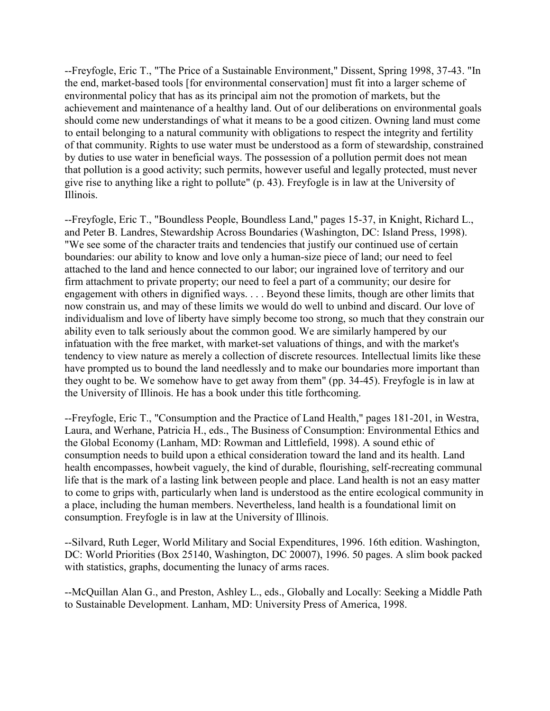--Freyfogle, Eric T., "The Price of a Sustainable Environment," Dissent, Spring 1998, 37-43. "In the end, market-based tools [for environmental conservation] must fit into a larger scheme of environmental policy that has as its principal aim not the promotion of markets, but the achievement and maintenance of a healthy land. Out of our deliberations on environmental goals should come new understandings of what it means to be a good citizen. Owning land must come to entail belonging to a natural community with obligations to respect the integrity and fertility of that community. Rights to use water must be understood as a form of stewardship, constrained by duties to use water in beneficial ways. The possession of a pollution permit does not mean that pollution is a good activity; such permits, however useful and legally protected, must never give rise to anything like a right to pollute" (p. 43). Freyfogle is in law at the University of Illinois.

--Freyfogle, Eric T., "Boundless People, Boundless Land," pages 15-37, in Knight, Richard L., and Peter B. Landres, Stewardship Across Boundaries (Washington, DC: Island Press, 1998). "We see some of the character traits and tendencies that justify our continued use of certain boundaries: our ability to know and love only a human-size piece of land; our need to feel attached to the land and hence connected to our labor; our ingrained love of territory and our firm attachment to private property; our need to feel a part of a community; our desire for engagement with others in dignified ways. . . . Beyond these limits, though are other limits that now constrain us, and may of these limits we would do well to unbind and discard. Our love of individualism and love of liberty have simply become too strong, so much that they constrain our ability even to talk seriously about the common good. We are similarly hampered by our infatuation with the free market, with market-set valuations of things, and with the market's tendency to view nature as merely a collection of discrete resources. Intellectual limits like these have prompted us to bound the land needlessly and to make our boundaries more important than they ought to be. We somehow have to get away from them" (pp. 34-45). Freyfogle is in law at the University of Illinois. He has a book under this title forthcoming.

--Freyfogle, Eric T., "Consumption and the Practice of Land Health," pages 181-201, in Westra, Laura, and Werhane, Patricia H., eds., The Business of Consumption: Environmental Ethics and the Global Economy (Lanham, MD: Rowman and Littlefield, 1998). A sound ethic of consumption needs to build upon a ethical consideration toward the land and its health. Land health encompasses, howbeit vaguely, the kind of durable, flourishing, self-recreating communal life that is the mark of a lasting link between people and place. Land health is not an easy matter to come to grips with, particularly when land is understood as the entire ecological community in a place, including the human members. Nevertheless, land health is a foundational limit on consumption. Freyfogle is in law at the University of Illinois.

--Silvard, Ruth Leger, World Military and Social Expenditures, 1996. 16th edition. Washington, DC: World Priorities (Box 25140, Washington, DC 20007), 1996. 50 pages. A slim book packed with statistics, graphs, documenting the lunacy of arms races.

--McQuillan Alan G., and Preston, Ashley L., eds., Globally and Locally: Seeking a Middle Path to Sustainable Development. Lanham, MD: University Press of America, 1998.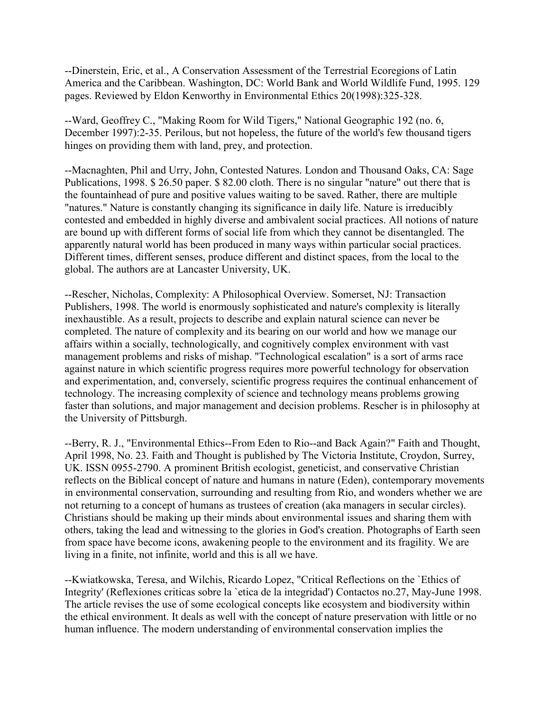--Dinerstein, Eric, et al., A Conservation Assessment of the Terrestrial Ecoregions of Latin America and the Caribbean. Washington, DC: World Bank and World Wildlife Fund, 1995. 129 pages. Reviewed by Eldon Kenworthy in Environmental Ethics 20(1998):325-328.

--Ward, Geoffrey C., "Making Room for Wild Tigers," National Geographic 192 (no. 6, December 1997):2-35. Perilous, but not hopeless, the future of the world's few thousand tigers hinges on providing them with land, prey, and protection.

--Macnaghten, Phil and Urry, John, Contested Natures. London and Thousand Oaks, CA: Sage Publications, 1998. \$ 26.50 paper. \$ 82.00 cloth. There is no singular "nature" out there that is the fountainhead of pure and positive values waiting to be saved. Rather, there are multiple "natures." Nature is constantly changing its significance in daily life. Nature is irreducibly contested and embedded in highly diverse and ambivalent social practices. All notions of nature are bound up with different forms of social life from which they cannot be disentangled. The apparently natural world has been produced in many ways within particular social practices. Different times, different senses, produce different and distinct spaces, from the local to the global. The authors are at Lancaster University, UK.

--Rescher, Nicholas, Complexity: A Philosophical Overview. Somerset, NJ: Transaction Publishers, 1998. The world is enormously sophisticated and nature's complexity is literally inexhaustible. As a result, projects to describe and explain natural science can never be completed. The nature of complexity and its bearing on our world and how we manage our affairs within a socially, technologically, and cognitively complex environment with vast management problems and risks of mishap. "Technological escalation" is a sort of arms race against nature in which scientific progress requires more powerful technology for observation and experimentation, and, conversely, scientific progress requires the continual enhancement of technology. The increasing complexity of science and technology means problems growing faster than solutions, and major management and decision problems. Rescher is in philosophy at the University of Pittsburgh.

--Berry, R. J., "Environmental Ethics--From Eden to Rio--and Back Again?" Faith and Thought, April 1998, No. 23. Faith and Thought is published by The Victoria Institute, Croydon, Surrey, UK. ISSN 0955-2790. A prominent British ecologist, geneticist, and conservative Christian reflects on the Biblical concept of nature and humans in nature (Eden), contemporary movements in environmental conservation, surrounding and resulting from Rio, and wonders whether we are not returning to a concept of humans as trustees of creation (aka managers in secular circles). Christians should be making up their minds about environmental issues and sharing them with others, taking the lead and witnessing to the glories in God's creation. Photographs of Earth seen from space have become icons, awakening people to the environment and its fragility. We are living in a finite, not infinite, world and this is all we have.

--Kwiatkowska, Teresa, and Wilchis, Ricardo Lopez, "Critical Reflections on the `Ethics of Integrity' (Reflexiones criticas sobre la `etica de la integridad') Contactos no.27, May-June 1998. The article revises the use of some ecological concepts like ecosystem and biodiversity within the ethical environment. It deals as well with the concept of nature preservation with little or no human influence. The modern understanding of environmental conservation implies the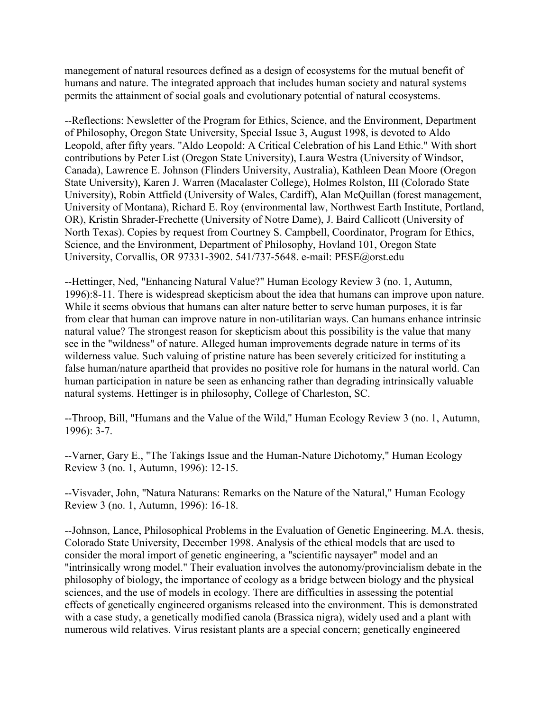manegement of natural resources defined as a design of ecosystems for the mutual benefit of humans and nature. The integrated approach that includes human society and natural systems permits the attainment of social goals and evolutionary potential of natural ecosystems.

--Reflections: Newsletter of the Program for Ethics, Science, and the Environment, Department of Philosophy, Oregon State University, Special Issue 3, August 1998, is devoted to Aldo Leopold, after fifty years. "Aldo Leopold: A Critical Celebration of his Land Ethic." With short contributions by Peter List (Oregon State University), Laura Westra (University of Windsor, Canada), Lawrence E. Johnson (Flinders University, Australia), Kathleen Dean Moore (Oregon State University), Karen J. Warren (Macalaster College), Holmes Rolston, III (Colorado State University), Robin Attfield (University of Wales, Cardiff), Alan McQuillan (forest management, University of Montana), Richard E. Roy (environmental law, Northwest Earth Institute, Portland, OR), Kristin Shrader-Frechette (University of Notre Dame), J. Baird Callicott (University of North Texas). Copies by request from Courtney S. Campbell, Coordinator, Program for Ethics, Science, and the Environment, Department of Philosophy, Hovland 101, Oregon State University, Corvallis, OR 97331-3902. 541/737-5648. e-mail: PESE@orst.edu

--Hettinger, Ned, "Enhancing Natural Value?" Human Ecology Review 3 (no. 1, Autumn, 1996):8-11. There is widespread skepticism about the idea that humans can improve upon nature. While it seems obvious that humans can alter nature better to serve human purposes, it is far from clear that human can improve nature in non-utilitarian ways. Can humans enhance intrinsic natural value? The strongest reason for skepticism about this possibility is the value that many see in the "wildness" of nature. Alleged human improvements degrade nature in terms of its wilderness value. Such valuing of pristine nature has been severely criticized for instituting a false human/nature apartheid that provides no positive role for humans in the natural world. Can human participation in nature be seen as enhancing rather than degrading intrinsically valuable natural systems. Hettinger is in philosophy, College of Charleston, SC.

--Throop, Bill, "Humans and the Value of the Wild," Human Ecology Review 3 (no. 1, Autumn, 1996): 3-7.

--Varner, Gary E., "The Takings Issue and the Human-Nature Dichotomy," Human Ecology Review 3 (no. 1, Autumn, 1996): 12-15.

--Visvader, John, "Natura Naturans: Remarks on the Nature of the Natural," Human Ecology Review 3 (no. 1, Autumn, 1996): 16-18.

--Johnson, Lance, Philosophical Problems in the Evaluation of Genetic Engineering. M.A. thesis, Colorado State University, December 1998. Analysis of the ethical models that are used to consider the moral import of genetic engineering, a "scientific naysayer" model and an "intrinsically wrong model." Their evaluation involves the autonomy/provincialism debate in the philosophy of biology, the importance of ecology as a bridge between biology and the physical sciences, and the use of models in ecology. There are difficulties in assessing the potential effects of genetically engineered organisms released into the environment. This is demonstrated with a case study, a genetically modified canola (Brassica nigra), widely used and a plant with numerous wild relatives. Virus resistant plants are a special concern; genetically engineered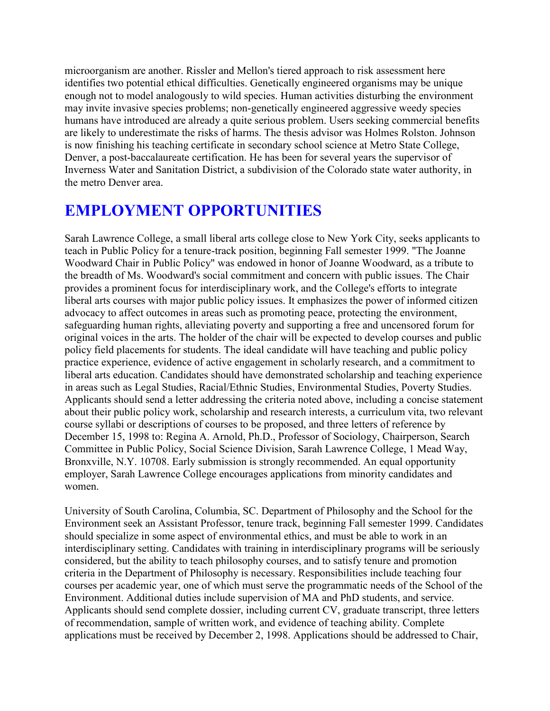microorganism are another. Rissler and Mellon's tiered approach to risk assessment here identifies two potential ethical difficulties. Genetically engineered organisms may be unique enough not to model analogously to wild species. Human activities disturbing the environment may invite invasive species problems; non-genetically engineered aggressive weedy species humans have introduced are already a quite serious problem. Users seeking commercial benefits are likely to underestimate the risks of harms. The thesis advisor was Holmes Rolston. Johnson is now finishing his teaching certificate in secondary school science at Metro State College, Denver, a post-baccalaureate certification. He has been for several years the supervisor of Inverness Water and Sanitation District, a subdivision of the Colorado state water authority, in the metro Denver area.

# **EMPLOYMENT OPPORTUNITIES**

Sarah Lawrence College, a small liberal arts college close to New York City, seeks applicants to teach in Public Policy for a tenure-track position, beginning Fall semester 1999. "The Joanne Woodward Chair in Public Policy" was endowed in honor of Joanne Woodward, as a tribute to the breadth of Ms. Woodward's social commitment and concern with public issues. The Chair provides a prominent focus for interdisciplinary work, and the College's efforts to integrate liberal arts courses with major public policy issues. It emphasizes the power of informed citizen advocacy to affect outcomes in areas such as promoting peace, protecting the environment, safeguarding human rights, alleviating poverty and supporting a free and uncensored forum for original voices in the arts. The holder of the chair will be expected to develop courses and public policy field placements for students. The ideal candidate will have teaching and public policy practice experience, evidence of active engagement in scholarly research, and a commitment to liberal arts education. Candidates should have demonstrated scholarship and teaching experience in areas such as Legal Studies, Racial/Ethnic Studies, Environmental Studies, Poverty Studies. Applicants should send a letter addressing the criteria noted above, including a concise statement about their public policy work, scholarship and research interests, a curriculum vita, two relevant course syllabi or descriptions of courses to be proposed, and three letters of reference by December 15, 1998 to: Regina A. Arnold, Ph.D., Professor of Sociology, Chairperson, Search Committee in Public Policy, Social Science Division, Sarah Lawrence College, 1 Mead Way, Bronxville, N.Y. 10708. Early submission is strongly recommended. An equal opportunity employer, Sarah Lawrence College encourages applications from minority candidates and women.

University of South Carolina, Columbia, SC. Department of Philosophy and the School for the Environment seek an Assistant Professor, tenure track, beginning Fall semester 1999. Candidates should specialize in some aspect of environmental ethics, and must be able to work in an interdisciplinary setting. Candidates with training in interdisciplinary programs will be seriously considered, but the ability to teach philosophy courses, and to satisfy tenure and promotion criteria in the Department of Philosophy is necessary. Responsibilities include teaching four courses per academic year, one of which must serve the programmatic needs of the School of the Environment. Additional duties include supervision of MA and PhD students, and service. Applicants should send complete dossier, including current CV, graduate transcript, three letters of recommendation, sample of written work, and evidence of teaching ability. Complete applications must be received by December 2, 1998. Applications should be addressed to Chair,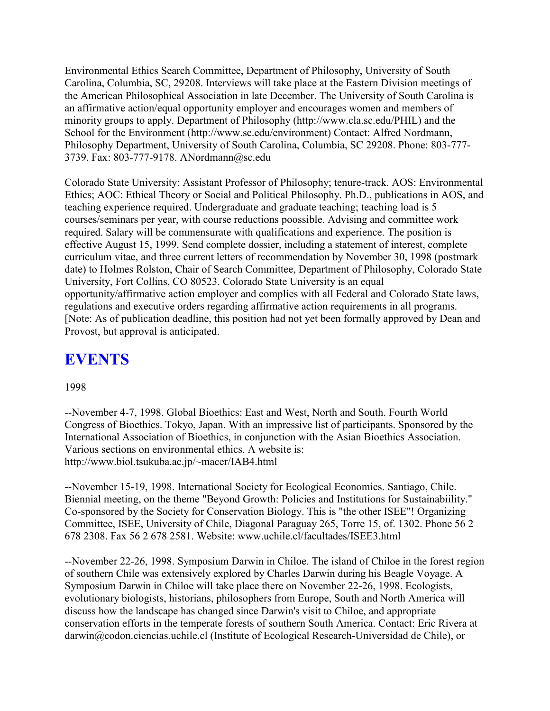Environmental Ethics Search Committee, Department of Philosophy, University of South Carolina, Columbia, SC, 29208. Interviews will take place at the Eastern Division meetings of the American Philosophical Association in late December. The University of South Carolina is an affirmative action/equal opportunity employer and encourages women and members of minority groups to apply. Department of Philosophy (http://www.cla.sc.edu/PHIL) and the School for the Environment (http://www.sc.edu/environment) Contact: Alfred Nordmann, Philosophy Department, University of South Carolina, Columbia, SC 29208. Phone: 803-777- 3739. Fax: 803-777-9178. ANordmann@sc.edu

Colorado State University: Assistant Professor of Philosophy; tenure-track. AOS: Environmental Ethics; AOC: Ethical Theory or Social and Political Philosophy. Ph.D., publications in AOS, and teaching experience required. Undergraduate and graduate teaching; teaching load is 5 courses/seminars per year, with course reductions poossible. Advising and committee work required. Salary will be commensurate with qualifications and experience. The position is effective August 15, 1999. Send complete dossier, including a statement of interest, complete curriculum vitae, and three current letters of recommendation by November 30, 1998 (postmark date) to Holmes Rolston, Chair of Search Committee, Department of Philosophy, Colorado State University, Fort Collins, CO 80523. Colorado State University is an equal opportunity/affirmative action employer and complies with all Federal and Colorado State laws, regulations and executive orders regarding affirmative action requirements in all programs. [Note: As of publication deadline, this position had not yet been formally approved by Dean and Provost, but approval is anticipated.

# **EVENTS**

### 1998

--November 4-7, 1998. Global Bioethics: East and West, North and South. Fourth World Congress of Bioethics. Tokyo, Japan. With an impressive list of participants. Sponsored by the International Association of Bioethics, in conjunction with the Asian Bioethics Association. Various sections on environmental ethics. A website is: http://www.biol.tsukuba.ac.jp/~macer/IAB4.html

--November 15-19, 1998. International Society for Ecological Economics. Santiago, Chile. Biennial meeting, on the theme "Beyond Growth: Policies and Institutions for Sustainabiility." Co-sponsored by the Society for Conservation Biology. This is "the other ISEE"! Organizing Committee, ISEE, University of Chile, Diagonal Paraguay 265, Torre 15, of. 1302. Phone 56 2 678 2308. Fax 56 2 678 2581. Website: www.uchile.cl/facultades/ISEE3.html

--November 22-26, 1998. Symposium Darwin in Chiloe. The island of Chiloe in the forest region of southern Chile was extensively explored by Charles Darwin during his Beagle Voyage. A Symposium Darwin in Chiloe will take place there on November 22-26, 1998. Ecologists, evolutionary biologists, historians, philosophers from Europe, South and North America will discuss how the landscape has changed since Darwin's visit to Chiloe, and appropriate conservation efforts in the temperate forests of southern South America. Contact: Eric Rivera at darwin@codon.ciencias.uchile.cl (Institute of Ecological Research-Universidad de Chile), or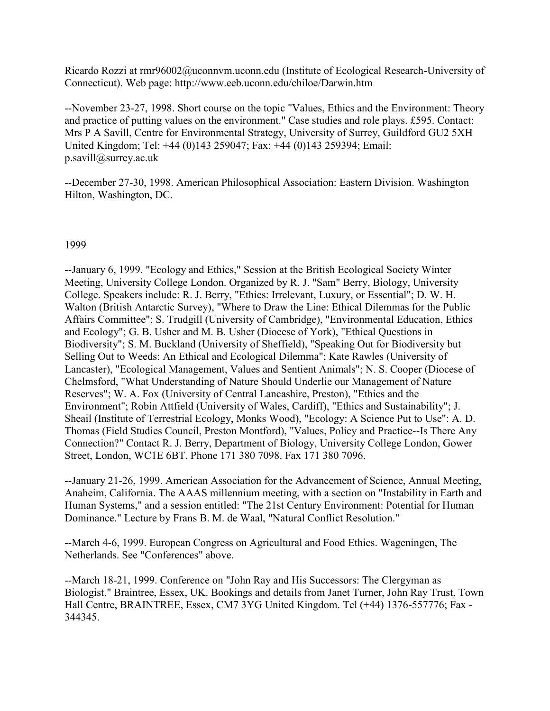Ricardo Rozzi at rmr96002@uconnvm.uconn.edu (Institute of Ecological Research-University of Connecticut). Web page: http://www.eeb.uconn.edu/chiloe/Darwin.htm

--November 23-27, 1998. Short course on the topic "Values, Ethics and the Environment: Theory and practice of putting values on the environment." Case studies and role plays. £595. Contact: Mrs P A Savill, Centre for Environmental Strategy, University of Surrey, Guildford GU2 5XH United Kingdom; Tel: +44 (0)143 259047; Fax: +44 (0)143 259394; Email: p.savill@surrey.ac.uk

--December 27-30, 1998. American Philosophical Association: Eastern Division. Washington Hilton, Washington, DC.

### 1999

--January 6, 1999. "Ecology and Ethics," Session at the British Ecological Society Winter Meeting, University College London. Organized by R. J. "Sam" Berry, Biology, University College. Speakers include: R. J. Berry, "Ethics: Irrelevant, Luxury, or Essential"; D. W. H. Walton (British Antarctic Survey), "Where to Draw the Line: Ethical Dilemmas for the Public Affairs Committee"; S. Trudgill (University of Cambridge), "Environmental Education, Ethics and Ecology"; G. B. Usher and M. B. Usher (Diocese of York), "Ethical Questions in Biodiversity"; S. M. Buckland (University of Sheffield), "Speaking Out for Biodiversity but Selling Out to Weeds: An Ethical and Ecological Dilemma"; Kate Rawles (University of Lancaster), "Ecological Management, Values and Sentient Animals"; N. S. Cooper (Diocese of Chelmsford, "What Understanding of Nature Should Underlie our Management of Nature Reserves"; W. A. Fox (University of Central Lancashire, Preston), "Ethics and the Environment"; Robin Attfield (University of Wales, Cardiff), "Ethics and Sustainability"; J. Sheail (Institute of Terrestrial Ecology, Monks Wood), "Ecology: A Science Put to Use": A. D. Thomas (Field Studies Council, Preston Montford), "Values, Policy and Practice--Is There Any Connection?" Contact R. J. Berry, Department of Biology, University College London, Gower Street, London, WC1E 6BT. Phone 171 380 7098. Fax 171 380 7096.

--January 21-26, 1999. American Association for the Advancement of Science, Annual Meeting, Anaheim, California. The AAAS millennium meeting, with a section on "Instability in Earth and Human Systems," and a session entitled: "The 21st Century Environment: Potential for Human Dominance." Lecture by Frans B. M. de Waal, "Natural Conflict Resolution."

--March 4-6, 1999. European Congress on Agricultural and Food Ethics. Wageningen, The Netherlands. See "Conferences" above.

--March 18-21, 1999. Conference on "John Ray and His Successors: The Clergyman as Biologist." Braintree, Essex, UK. Bookings and details from Janet Turner, John Ray Trust, Town Hall Centre, BRAINTREE, Essex, CM7 3YG United Kingdom. Tel (+44) 1376-557776; Fax - 344345.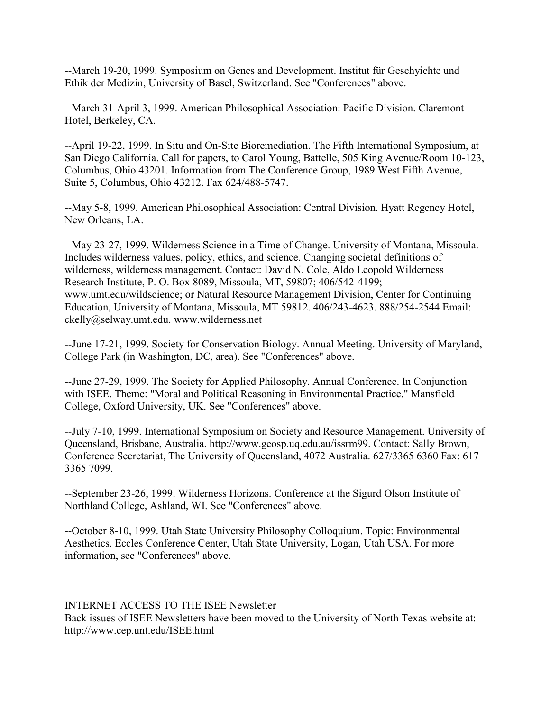--March 19-20, 1999. Symposium on Genes and Development. Institut für Geschyichte und Ethik der Medizin, University of Basel, Switzerland. See "Conferences" above.

--March 31-April 3, 1999. American Philosophical Association: Pacific Division. Claremont Hotel, Berkeley, CA.

--April 19-22, 1999. In Situ and On-Site Bioremediation. The Fifth International Symposium, at San Diego California. Call for papers, to Carol Young, Battelle, 505 King Avenue/Room 10-123, Columbus, Ohio 43201. Information from The Conference Group, 1989 West Fifth Avenue, Suite 5, Columbus, Ohio 43212. Fax 624/488-5747.

--May 5-8, 1999. American Philosophical Association: Central Division. Hyatt Regency Hotel, New Orleans, LA.

--May 23-27, 1999. Wilderness Science in a Time of Change. University of Montana, Missoula. Includes wilderness values, policy, ethics, and science. Changing societal definitions of wilderness, wilderness management. Contact: David N. Cole, Aldo Leopold Wilderness Research Institute, P. O. Box 8089, Missoula, MT, 59807; 406/542-4199; www.umt.edu/wildscience; or Natural Resource Management Division, Center for Continuing Education, University of Montana, Missoula, MT 59812. 406/243-4623. 888/254-2544 Email: ckelly@selway.umt.edu. www.wilderness.net

--June 17-21, 1999. Society for Conservation Biology. Annual Meeting. University of Maryland, College Park (in Washington, DC, area). See "Conferences" above.

--June 27-29, 1999. The Society for Applied Philosophy. Annual Conference. In Conjunction with ISEE. Theme: "Moral and Political Reasoning in Environmental Practice." Mansfield College, Oxford University, UK. See "Conferences" above.

--July 7-10, 1999. International Symposium on Society and Resource Management. University of Queensland, Brisbane, Australia. http://www.geosp.uq.edu.au/issrm99. Contact: Sally Brown, Conference Secretariat, The University of Queensland, 4072 Australia. 627/3365 6360 Fax: 617 3365 7099.

--September 23-26, 1999. Wilderness Horizons. Conference at the Sigurd Olson Institute of Northland College, Ashland, WI. See "Conferences" above.

--October 8-10, 1999. Utah State University Philosophy Colloquium. Topic: Environmental Aesthetics. Eccles Conference Center, Utah State University, Logan, Utah USA. For more information, see "Conferences" above.

### INTERNET ACCESS TO THE ISEE Newsletter

Back issues of ISEE Newsletters have been moved to the University of North Texas website at: http://www.cep.unt.edu/ISEE.html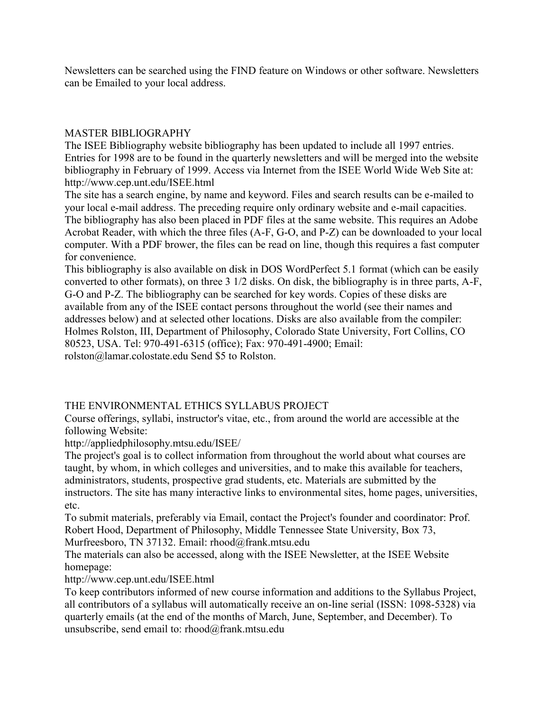Newsletters can be searched using the FIND feature on Windows or other software. Newsletters can be Emailed to your local address.

### MASTER BIBLIOGRAPHY

The ISEE Bibliography website bibliography has been updated to include all 1997 entries. Entries for 1998 are to be found in the quarterly newsletters and will be merged into the website bibliography in February of 1999. Access via Internet from the ISEE World Wide Web Site at: http://www.cep.unt.edu/ISEE.html

The site has a search engine, by name and keyword. Files and search results can be e-mailed to your local e-mail address. The preceding require only ordinary website and e-mail capacities. The bibliography has also been placed in PDF files at the same website. This requires an Adobe Acrobat Reader, with which the three files (A-F, G-O, and P-Z) can be downloaded to your local computer. With a PDF brower, the files can be read on line, though this requires a fast computer for convenience.

This bibliography is also available on disk in DOS WordPerfect 5.1 format (which can be easily converted to other formats), on three 3 1/2 disks. On disk, the bibliography is in three parts, A-F, G-O and P-Z. The bibliography can be searched for key words. Copies of these disks are available from any of the ISEE contact persons throughout the world (see their names and addresses below) and at selected other locations. Disks are also available from the compiler: Holmes Rolston, III, Department of Philosophy, Colorado State University, Fort Collins, CO 80523, USA. Tel: 970-491-6315 (office); Fax: 970-491-4900; Email: rolston@lamar.colostate.edu Send \$5 to Rolston.

## THE ENVIRONMENTAL ETHICS SYLLABUS PROJECT

Course offerings, syllabi, instructor's vitae, etc., from around the world are accessible at the following Website:

http://appliedphilosophy.mtsu.edu/ISEE/

The project's goal is to collect information from throughout the world about what courses are taught, by whom, in which colleges and universities, and to make this available for teachers, administrators, students, prospective grad students, etc. Materials are submitted by the instructors. The site has many interactive links to environmental sites, home pages, universities, etc.

To submit materials, preferably via Email, contact the Project's founder and coordinator: Prof. Robert Hood, Department of Philosophy, Middle Tennessee State University, Box 73, Murfreesboro, TN 37132. Email: rhood@frank.mtsu.edu

The materials can also be accessed, along with the ISEE Newsletter, at the ISEE Website homepage:

http://www.cep.unt.edu/ISEE.html

To keep contributors informed of new course information and additions to the Syllabus Project, all contributors of a syllabus will automatically receive an on-line serial (ISSN: 1098-5328) via quarterly emails (at the end of the months of March, June, September, and December). To unsubscribe, send email to: rhood@frank.mtsu.edu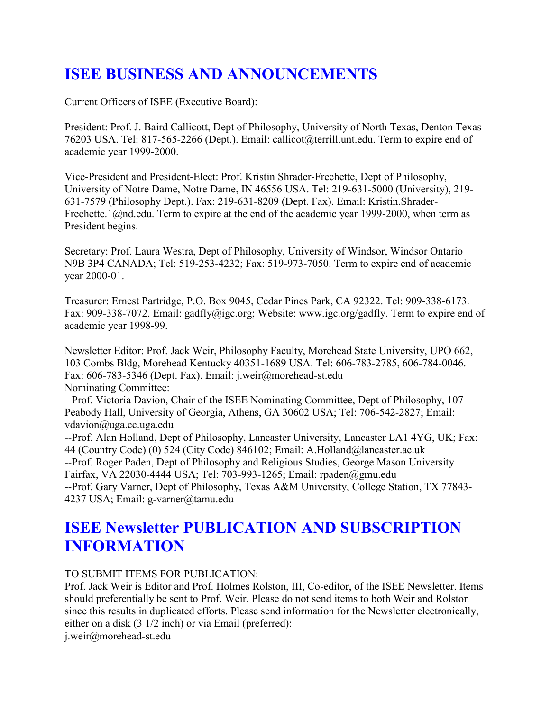# **ISEE BUSINESS AND ANNOUNCEMENTS**

Current Officers of ISEE (Executive Board):

President: Prof. J. Baird Callicott, Dept of Philosophy, University of North Texas, Denton Texas 76203 USA. Tel: 817-565-2266 (Dept.). Email: callicot@terrill.unt.edu. Term to expire end of academic year 1999-2000.

Vice-President and President-Elect: Prof. Kristin Shrader-Frechette, Dept of Philosophy, University of Notre Dame, Notre Dame, IN 46556 USA. Tel: 219-631-5000 (University), 219- 631-7579 (Philosophy Dept.). Fax: 219-631-8209 (Dept. Fax). Email: Kristin.Shrader-Frechette.1@nd.edu. Term to expire at the end of the academic year 1999-2000, when term as President begins.

Secretary: Prof. Laura Westra, Dept of Philosophy, University of Windsor, Windsor Ontario N9B 3P4 CANADA; Tel: 519-253-4232; Fax: 519-973-7050. Term to expire end of academic year 2000-01.

Treasurer: Ernest Partridge, P.O. Box 9045, Cedar Pines Park, CA 92322. Tel: 909-338-6173. Fax: 909-338-7072. Email: gadfly@igc.org; Website: www.igc.org/gadfly. Term to expire end of academic year 1998-99.

Newsletter Editor: Prof. Jack Weir, Philosophy Faculty, Morehead State University, UPO 662, 103 Combs Bldg, Morehead Kentucky 40351-1689 USA. Tel: 606-783-2785, 606-784-0046. Fax: 606-783-5346 (Dept. Fax). Email: j.weir@morehead-st.edu Nominating Committee:

--Prof. Victoria Davion, Chair of the ISEE Nominating Committee, Dept of Philosophy, 107 Peabody Hall, University of Georgia, Athens, GA 30602 USA; Tel: 706-542-2827; Email: vdavion@uga.cc.uga.edu

--Prof. Alan Holland, Dept of Philosophy, Lancaster University, Lancaster LA1 4YG, UK; Fax: 44 (Country Code) (0) 524 (City Code) 846102; Email: A.Holland@lancaster.ac.uk --Prof. Roger Paden, Dept of Philosophy and Religious Studies, George Mason University Fairfax, VA 22030-4444 USA; Tel: 703-993-1265; Email: rpaden@gmu.edu --Prof. Gary Varner, Dept of Philosophy, Texas A&M University, College Station, TX 77843- 4237 USA; Email: g-varner@tamu.edu

# **ISEE Newsletter PUBLICATION AND SUBSCRIPTION INFORMATION**

### TO SUBMIT ITEMS FOR PUBLICATION:

Prof. Jack Weir is Editor and Prof. Holmes Rolston, III, Co-editor, of the ISEE Newsletter. Items should preferentially be sent to Prof. Weir. Please do not send items to both Weir and Rolston since this results in duplicated efforts. Please send information for the Newsletter electronically, either on a disk (3 1/2 inch) or via Email (preferred):

j.weir@morehead-st.edu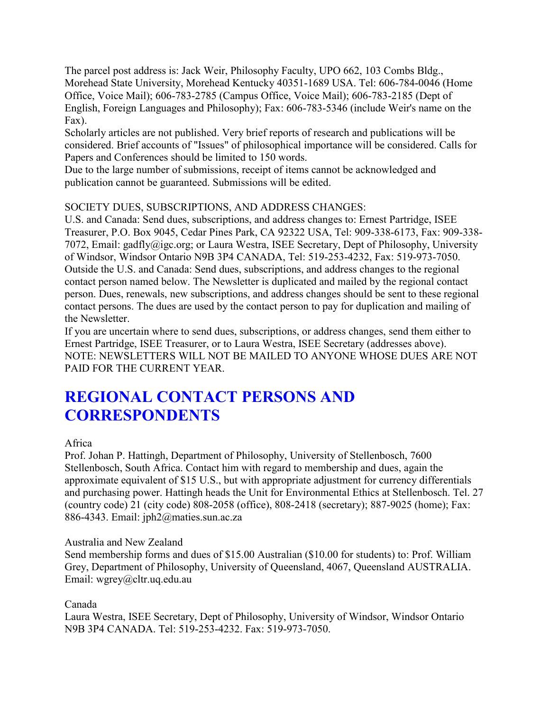The parcel post address is: Jack Weir, Philosophy Faculty, UPO 662, 103 Combs Bldg., Morehead State University, Morehead Kentucky 40351-1689 USA. Tel: 606-784-0046 (Home Office, Voice Mail); 606-783-2785 (Campus Office, Voice Mail); 606-783-2185 (Dept of English, Foreign Languages and Philosophy); Fax: 606-783-5346 (include Weir's name on the Fax).

Scholarly articles are not published. Very brief reports of research and publications will be considered. Brief accounts of "Issues" of philosophical importance will be considered. Calls for Papers and Conferences should be limited to 150 words.

Due to the large number of submissions, receipt of items cannot be acknowledged and publication cannot be guaranteed. Submissions will be edited.

## SOCIETY DUES, SUBSCRIPTIONS, AND ADDRESS CHANGES:

U.S. and Canada: Send dues, subscriptions, and address changes to: Ernest Partridge, ISEE Treasurer, P.O. Box 9045, Cedar Pines Park, CA 92322 USA, Tel: 909-338-6173, Fax: 909-338- 7072, Email: gadfly@igc.org; or Laura Westra, ISEE Secretary, Dept of Philosophy, University of Windsor, Windsor Ontario N9B 3P4 CANADA, Tel: 519-253-4232, Fax: 519-973-7050. Outside the U.S. and Canada: Send dues, subscriptions, and address changes to the regional contact person named below. The Newsletter is duplicated and mailed by the regional contact person. Dues, renewals, new subscriptions, and address changes should be sent to these regional contact persons. The dues are used by the contact person to pay for duplication and mailing of the Newsletter.

If you are uncertain where to send dues, subscriptions, or address changes, send them either to Ernest Partridge, ISEE Treasurer, or to Laura Westra, ISEE Secretary (addresses above). NOTE: NEWSLETTERS WILL NOT BE MAILED TO ANYONE WHOSE DUES ARE NOT PAID FOR THE CURRENT YEAR.

# **REGIONAL CONTACT PERSONS AND CORRESPONDENTS**

### Africa

Prof. Johan P. Hattingh, Department of Philosophy, University of Stellenbosch, 7600 Stellenbosch, South Africa. Contact him with regard to membership and dues, again the approximate equivalent of \$15 U.S., but with appropriate adjustment for currency differentials and purchasing power. Hattingh heads the Unit for Environmental Ethics at Stellenbosch. Tel. 27 (country code) 21 (city code) 808-2058 (office), 808-2418 (secretary); 887-9025 (home); Fax: 886-4343. Email: jph2@maties.sun.ac.za

### Australia and New Zealand

Send membership forms and dues of \$15.00 Australian (\$10.00 for students) to: Prof. William Grey, Department of Philosophy, University of Queensland, 4067, Queensland AUSTRALIA. Email: wgrey@cltr.uq.edu.au

### Canada

Laura Westra, ISEE Secretary, Dept of Philosophy, University of Windsor, Windsor Ontario N9B 3P4 CANADA. Tel: 519-253-4232. Fax: 519-973-7050.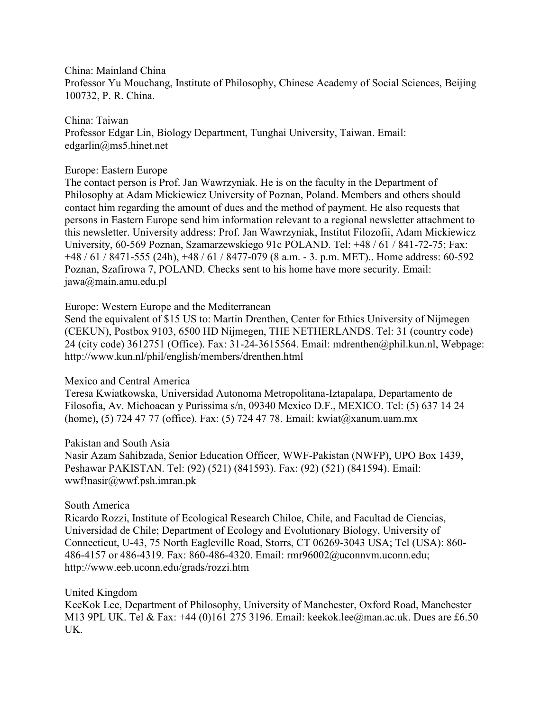China: Mainland China

Professor Yu Mouchang, Institute of Philosophy, Chinese Academy of Social Sciences, Beijing 100732, P. R. China.

China: Taiwan Professor Edgar Lin, Biology Department, Tunghai University, Taiwan. Email: edgarlin@ms5.hinet.net

### Europe: Eastern Europe

The contact person is Prof. Jan Wawrzyniak. He is on the faculty in the Department of Philosophy at Adam Mickiewicz University of Poznan, Poland. Members and others should contact him regarding the amount of dues and the method of payment. He also requests that persons in Eastern Europe send him information relevant to a regional newsletter attachment to this newsletter. University address: Prof. Jan Wawrzyniak, Institut Filozofii, Adam Mickiewicz University, 60-569 Poznan, Szamarzewskiego 91c POLAND. Tel: +48 / 61 / 841-72-75; Fax: +48 / 61 / 8471-555 (24h), +48 / 61 / 8477-079 (8 a.m. - 3. p.m. MET).. Home address: 60-592 Poznan, Szafirowa 7, POLAND. Checks sent to his home have more security. Email: jawa@main.amu.edu.pl

### Europe: Western Europe and the Mediterranean

Send the equivalent of \$15 US to: Martin Drenthen, Center for Ethics University of Nijmegen (CEKUN), Postbox 9103, 6500 HD Nijmegen, THE NETHERLANDS. Tel: 31 (country code) 24 (city code) 3612751 (Office). Fax: 31-24-3615564. Email: mdrenthen@phil.kun.nl, Webpage: http://www.kun.nl/phil/english/members/drenthen.html

### Mexico and Central America

Teresa Kwiatkowska, Universidad Autonoma Metropolitana-Iztapalapa, Departamento de Filosofia, Av. Michoacan y Purissima s/n, 09340 Mexico D.F., MEXICO. Tel: (5) 637 14 24 (home), (5) 724 47 77 (office). Fax: (5) 724 47 78. Email: kwiat@xanum.uam.mx

### Pakistan and South Asia

Nasir Azam Sahibzada, Senior Education Officer, WWF-Pakistan (NWFP), UPO Box 1439, Peshawar PAKISTAN. Tel: (92) (521) (841593). Fax: (92) (521) (841594). Email: wwf!nasir@wwf.psh.imran.pk

### South America

Ricardo Rozzi, Institute of Ecological Research Chiloe, Chile, and Facultad de Ciencias, Universidad de Chile; Department of Ecology and Evolutionary Biology, University of Connecticut, U-43, 75 North Eagleville Road, Storrs, CT 06269-3043 USA; Tel (USA): 860- 486-4157 or 486-4319. Fax: 860-486-4320. Email: rmr96002@uconnvm.uconn.edu; http://www.eeb.uconn.edu/grads/rozzi.htm

### United Kingdom

KeeKok Lee, Department of Philosophy, University of Manchester, Oxford Road, Manchester M13 9PL UK. Tel & Fax: +44 (0)161 275 3196. Email: keekok.lee@man.ac.uk. Dues are £6.50 UK.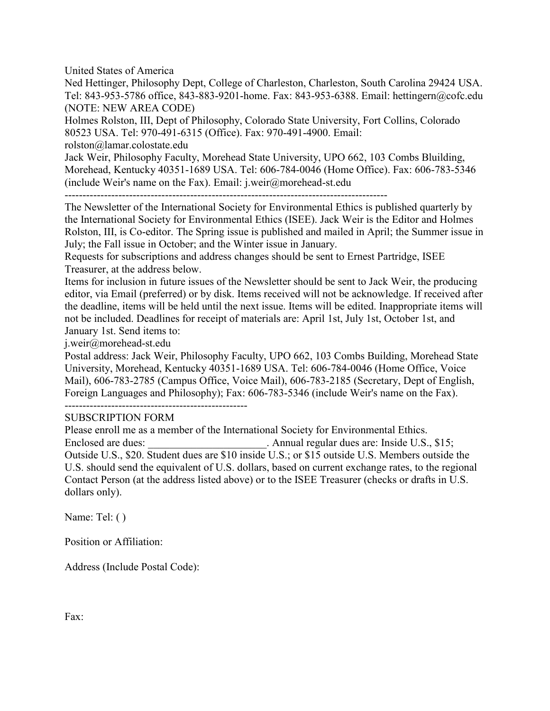United States of America

Ned Hettinger, Philosophy Dept, College of Charleston, Charleston, South Carolina 29424 USA. Tel: 843-953-5786 office, 843-883-9201-home. Fax: 843-953-6388. Email: hettingern@cofc.edu (NOTE: NEW AREA CODE)

Holmes Rolston, III, Dept of Philosophy, Colorado State University, Fort Collins, Colorado 80523 USA. Tel: 970-491-6315 (Office). Fax: 970-491-4900. Email:

rolston@lamar.colostate.edu

Jack Weir, Philosophy Faculty, Morehead State University, UPO 662, 103 Combs Bluilding, Morehead, Kentucky 40351-1689 USA. Tel: 606-784-0046 (Home Office). Fax: 606-783-5346 (include Weir's name on the Fax). Email: j.weir@morehead-st.edu

The Newsletter of the International Society for Environmental Ethics is published quarterly by the International Society for Environmental Ethics (ISEE). Jack Weir is the Editor and Holmes Rolston, III, is Co-editor. The Spring issue is published and mailed in April; the Summer issue in July; the Fall issue in October; and the Winter issue in January.

Requests for subscriptions and address changes should be sent to Ernest Partridge, ISEE Treasurer, at the address below.

Items for inclusion in future issues of the Newsletter should be sent to Jack Weir, the producing editor, via Email (preferred) or by disk. Items received will not be acknowledge. If received after the deadline, items will be held until the next issue. Items will be edited. Inappropriate items will not be included. Deadlines for receipt of materials are: April 1st, July 1st, October 1st, and January 1st. Send items to:

j.weir@morehead-st.edu

Postal address: Jack Weir, Philosophy Faculty, UPO 662, 103 Combs Building, Morehead State University, Morehead, Kentucky 40351-1689 USA. Tel: 606-784-0046 (Home Office, Voice Mail), 606-783-2785 (Campus Office, Voice Mail), 606-783-2185 (Secretary, Dept of English, Foreign Languages and Philosophy); Fax: 606-783-5346 (include Weir's name on the Fax).

---------------------------------------------------

### SUBSCRIPTION FORM

Please enroll me as a member of the International Society for Environmental Ethics. Enclosed are dues:  $\blacksquare$  Annual regular dues are: Inside U.S., \$15; Outside U.S., \$20. Student dues are \$10 inside U.S.; or \$15 outside U.S. Members outside the U.S. should send the equivalent of U.S. dollars, based on current exchange rates, to the regional Contact Person (at the address listed above) or to the ISEE Treasurer (checks or drafts in U.S. dollars only).

Name: Tel: ( )

Position or Affiliation:

Address (Include Postal Code):

Fax: